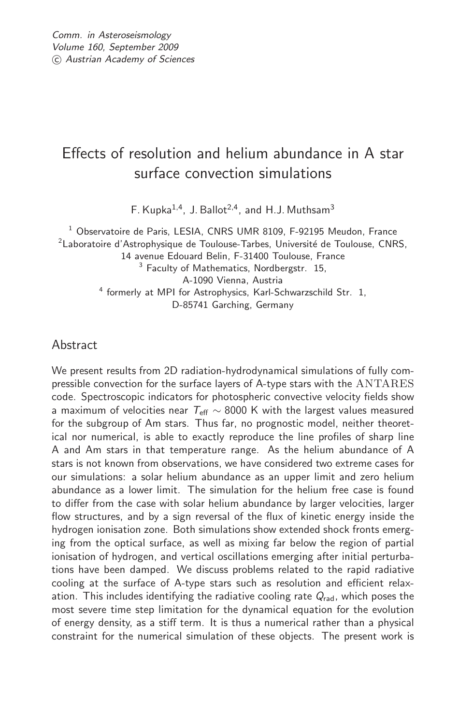F. Kupka<sup>1,4</sup>, J. Ballot<sup>2,4</sup>, and H.J. Muthsam<sup>3</sup>

<sup>1</sup> Observatoire de Paris, LESIA, CNRS UMR 8109, F-92195 Meudon, France  $^{2}$ Laboratoire d'Astrophysique de Toulouse-Tarbes, Université de Toulouse, CNRS, 14 avenue Edouard Belin, F-31400 Toulouse, France  $3$  Faculty of Mathematics, Nordbergstr. 15, A-1090 Vienna, Austria <sup>4</sup> formerly at MPI for Astrophysics, Karl-Schwarzschild Str. 1, D-85741 Garching, Germany

# Abstract

We present results from 2D radiation-hydrodynamical simulations of fully compressible convection for the surface layers of A-type stars with the ANTARES code. Spectroscopic indicators for photospheric convective velocity fields show a maximum of velocities near *T*eff ∼ 8000 K with the largest values measured for the subgroup of Am stars. Thus far, no prognostic model, neither theoretical nor numerical, is able to exactly reproduce the line profiles of sharp line A and Am stars in that temperature range. As the helium abundance of A stars is not known from observations, we have considered two extreme cases for our simulations: a solar helium abundance as an upper limit and zero helium abundance as a lower limit. The simulation for the helium free case is found to differ from the case with solar helium abundance by larger velocities, larger flow structures, and by a sign reversal of the flux of kinetic energy inside the hydrogen ionisation zone. Both simulations show extended shock fronts emerging from the optical surface, as well as mixing far below the region of partial ionisation of hydrogen, and vertical oscillations emerging after initial perturbations have been damped. We discuss problems related to the rapid radiative cooling at the surface of A-type stars such as resolution and efficient relaxation. This includes identifying the radiative cooling rate *Q*rad, which poses the most severe time step limitation for the dynamical equation for the evolution of energy density, as a stiff term. It is thus a numerical rather than a physical constraint for the numerical simulation of these objects. The present work is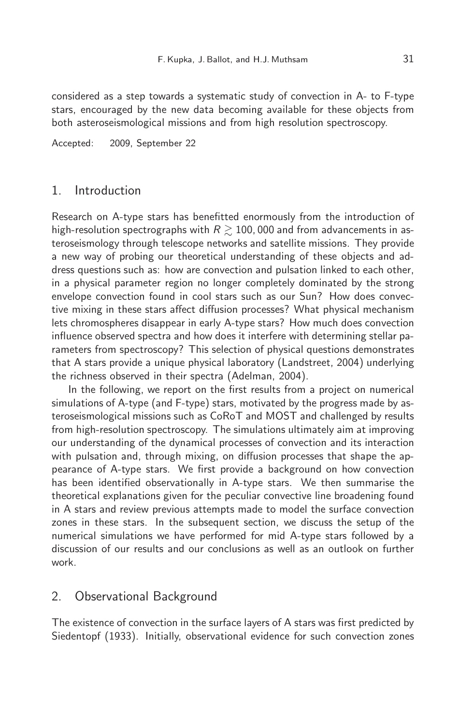considered as a step towards a systematic study of convection in A- to F-type stars, encouraged by the new data becoming available for these objects from both asteroseismological missions and from high resolution spectroscopy.

Accepted: 2009, September 22

# 1. Introduction

Research on A-type stars has benefitted enormously from the introduction of high-resolution spectrographs with  $R \ge 100,000$  and from advancements in asteroseismology through telescope networks and satellite missions. They provide a new way of probing our theoretical understanding of these objects and address questions such as: how are convection and pulsation linked to each other, in a physical parameter region no longer completely dominated by the strong envelope convection found in cool stars such as our Sun? How does convective mixing in these stars affect diffusion processes? What physical mechanism lets chromospheres disappear in early A-type stars? How much does convection influence observed spectra and how does it interfere with determining stellar parameters from spectroscopy? This selection of physical questions demonstrates that A stars provide a unique physical laboratory (Landstreet, 2004) underlying the richness observed in their spectra (Adelman, 2004).

In the following, we report on the first results from a project on numerical simulations of A-type (and F-type) stars, motivated by the progress made by asteroseismological missions such as CoRoT and MOST and challenged by results from high-resolution spectroscopy. The simulations ultimately aim at improving our understanding of the dynamical processes of convection and its interaction with pulsation and, through mixing, on diffusion processes that shape the appearance of A-type stars. We first provide a background on how convection has been identified observationally in A-type stars. We then summarise the theoretical explanations given for the peculiar convective line broadening found in A stars and review previous attempts made to model the surface convection zones in these stars. In the subsequent section, we discuss the setup of the numerical simulations we have performed for mid A-type stars followed by a discussion of our results and our conclusions as well as an outlook on further work.

# 2. Observational Background

The existence of convection in the surface layers of A stars was first predicted by Siedentopf (1933). Initially, observational evidence for such convection zones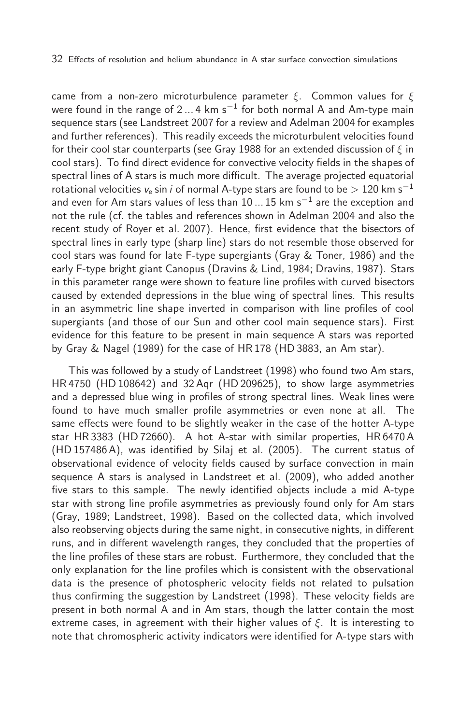came from a non-zero microturbulence parameter  $\xi$ . Common values for  $\xi$ were found in the range of 2…4 km s $^{-1}$  for both normal A and Am-type main sequence stars (see Landstreet 2007 for a review and Adelman 2004 for examples and further references). This readily exceeds the microturbulent velocities found for their cool star counterparts (see Gray 1988 for an extended discussion of  $\xi$  in cool stars). To find direct evidence for convective velocity fields in the shapes of spectral lines of A stars is much more difficult. The average projected equatorial rotational velocities  $v_e$  sin *i* of normal A-type stars are found to be  $> 120$  km s<sup>-1</sup> and even for Am stars values of less than  $10\,...\,15$  km s $^{-1}$  are the exception and not the rule (cf. the tables and references shown in Adelman 2004 and also the recent study of Royer et al. 2007). Hence, first evidence that the bisectors of spectral lines in early type (sharp line) stars do not resemble those observed for cool stars was found for late F-type supergiants (Gray & Toner, 1986) and the early F-type bright giant Canopus (Dravins & Lind, 1984; Dravins, 1987). Stars in this parameter range were shown to feature line profiles with curved bisectors caused by extended depressions in the blue wing of spectral lines. This results in an asymmetric line shape inverted in comparison with line profiles of cool supergiants (and those of our Sun and other cool main sequence stars). First evidence for this feature to be present in main sequence A stars was reported by Gray & Nagel (1989) for the case of HR 178 (HD 3883, an Am star).

This was followed by a study of Landstreet (1998) who found two Am stars, HR 4750 (HD 108642) and 32 Aqr (HD 209625), to show large asymmetries and a depressed blue wing in profiles of strong spectral lines. Weak lines were found to have much smaller profile asymmetries or even none at all. The same effects were found to be slightly weaker in the case of the hotter A-type star HR 3383 (HD 72660). A hot A-star with similar properties, HR 6470 A (HD 157486 A), was identified by Silaj et al. (2005). The current status of observational evidence of velocity fields caused by surface convection in main sequence A stars is analysed in Landstreet et al. (2009), who added another five stars to this sample. The newly identified objects include a mid A-type star with strong line profile asymmetries as previously found only for Am stars (Gray, 1989; Landstreet, 1998). Based on the collected data, which involved also reobserving objects during the same night, in consecutive nights, in different runs, and in different wavelength ranges, they concluded that the properties of the line profiles of these stars are robust. Furthermore, they concluded that the only explanation for the line profiles which is consistent with the observational data is the presence of photospheric velocity fields not related to pulsation thus confirming the suggestion by Landstreet (1998). These velocity fields are present in both normal A and in Am stars, though the latter contain the most extreme cases, in agreement with their higher values of  $\xi$ . It is interesting to note that chromospheric activity indicators were identified for A-type stars with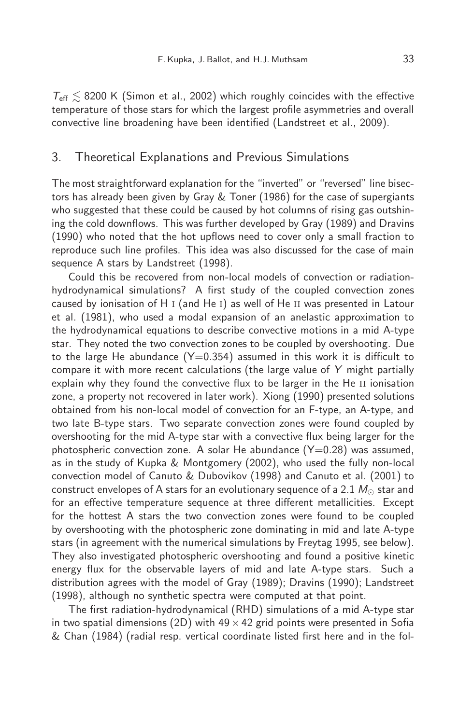$T_{\text{eff}} \lesssim 8200$  K (Simon et al., 2002) which roughly coincides with the effective temperature of those stars for which the largest profile asymmetries and overall convective line broadening have been identified (Landstreet et al., 2009).

### 3. Theoretical Explanations and Previous Simulations

The most straightforward explanation for the "inverted" or "reversed" line bisectors has already been given by Gray & Toner (1986) for the case of supergiants who suggested that these could be caused by hot columns of rising gas outshining the cold downflows. This was further developed by Gray (1989) and Dravins (1990) who noted that the hot upflows need to cover only a small fraction to reproduce such line profiles. This idea was also discussed for the case of main sequence A stars by Landstreet (1998).

Could this be recovered from non-local models of convection or radiationhydrodynamical simulations? A first study of the coupled convection zones caused by ionisation of H i (and He i) as well of He ii was presented in Latour et al. (1981), who used a modal expansion of an anelastic approximation to the hydrodynamical equations to describe convective motions in a mid A-type star. They noted the two convection zones to be coupled by overshooting. Due to the large He abundance  $(Y=0.354)$  assumed in this work it is difficult to compare it with more recent calculations (the large value of *Y* might partially explain why they found the convective flux to be larger in the He II ionisation zone, a property not recovered in later work). Xiong (1990) presented solutions obtained from his non-local model of convection for an F-type, an A-type, and two late B-type stars. Two separate convection zones were found coupled by overshooting for the mid A-type star with a convective flux being larger for the photospheric convection zone. A solar He abundance  $(Y=0.28)$  was assumed, as in the study of Kupka & Montgomery (2002), who used the fully non-local convection model of Canuto & Dubovikov (1998) and Canuto et al. (2001) to construct envelopes of A stars for an evolutionary sequence of a 2.1 *M*<sup>⊙</sup> star and for an effective temperature sequence at three different metallicities. Except for the hottest A stars the two convection zones were found to be coupled by overshooting with the photospheric zone dominating in mid and late A-type stars (in agreement with the numerical simulations by Freytag 1995, see below). They also investigated photospheric overshooting and found a positive kinetic energy flux for the observable layers of mid and late A-type stars. Such a distribution agrees with the model of Gray (1989); Dravins (1990); Landstreet (1998), although no synthetic spectra were computed at that point.

The first radiation-hydrodynamical (RHD) simulations of a mid A-type star in two spatial dimensions (2D) with  $49 \times 42$  grid points were presented in Sofia & Chan (1984) (radial resp. vertical coordinate listed first here and in the fol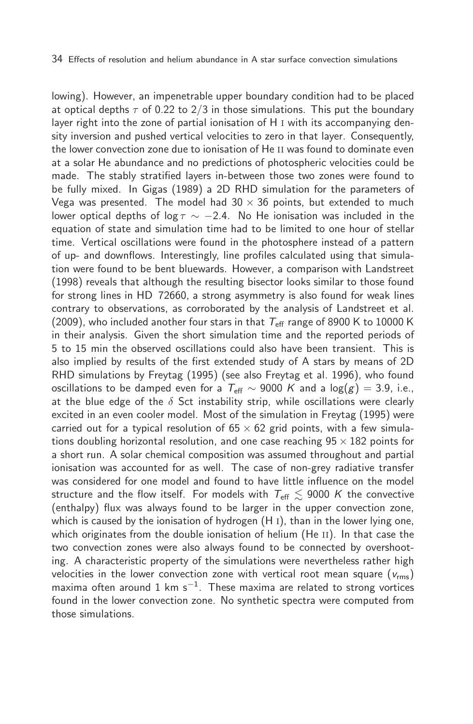lowing). However, an impenetrable upper boundary condition had to be placed at optical depths  $\tau$  of 0.22 to 2/3 in those simulations. This put the boundary layer right into the zone of partial ionisation of H I with its accompanying density inversion and pushed vertical velocities to zero in that layer. Consequently, the lower convection zone due to ionisation of He ii was found to dominate even at a solar He abundance and no predictions of photospheric velocities could be made. The stably stratified layers in-between those two zones were found to be fully mixed. In Gigas (1989) a 2D RHD simulation for the parameters of Vega was presented. The model had  $30 \times 36$  points, but extended to much lower optical depths of log  $\tau \sim -2.4$ . No He ionisation was included in the equation of state and simulation time had to be limited to one hour of stellar time. Vertical oscillations were found in the photosphere instead of a pattern of up- and downflows. Interestingly, line profiles calculated using that simulation were found to be bent bluewards. However, a comparison with Landstreet (1998) reveals that although the resulting bisector looks similar to those found for strong lines in HD 72660, a strong asymmetry is also found for weak lines contrary to observations, as corroborated by the analysis of Landstreet et al. (2009), who included another four stars in that  $T_{\text{eff}}$  range of 8900 K to 10000 K in their analysis. Given the short simulation time and the reported periods of 5 to 15 min the observed oscillations could also have been transient. This is also implied by results of the first extended study of A stars by means of 2D RHD simulations by Freytag (1995) (see also Freytag et al. 1996), who found oscillations to be damped even for a  $T_{\text{eff}}$  ~ 9000 *K* and a log(*g*) = 3.9, i.e., at the blue edge of the  $\delta$  Sct instability strip, while oscillations were clearly excited in an even cooler model. Most of the simulation in Freytag (1995) were carried out for a typical resolution of  $65 \times 62$  grid points, with a few simulations doubling horizontal resolution, and one case reaching  $95 \times 182$  points for a short run. A solar chemical composition was assumed throughout and partial ionisation was accounted for as well. The case of non-grey radiative transfer was considered for one model and found to have little influence on the model structure and the flow itself. For models with  $T_{\text{eff}} \leq 9000$  K the convective (enthalpy) flux was always found to be larger in the upper convection zone, which is caused by the ionisation of hydrogen (H I), than in the lower lying one, which originates from the double ionisation of helium (He II). In that case the two convection zones were also always found to be connected by overshooting. A characteristic property of the simulations were nevertheless rather high velocities in the lower convection zone with vertical root mean square (*v*rms) maxima often around 1 km s<sup>-1</sup>. These maxima are related to strong vortices found in the lower convection zone. No synthetic spectra were computed from those simulations.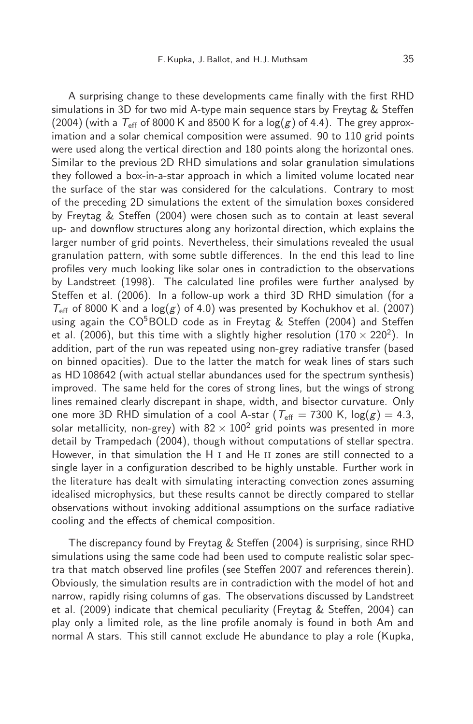A surprising change to these developments came finally with the first RHD simulations in 3D for two mid A-type main sequence stars by Freytag & Steffen (2004) (with a  $T_{\text{eff}}$  of 8000 K and 8500 K for a  $\log(g)$  of 4.4). The grey approximation and a solar chemical composition were assumed. 90 to 110 grid points were used along the vertical direction and 180 points along the horizontal ones. Similar to the previous 2D RHD simulations and solar granulation simulations they followed a box-in-a-star approach in which a limited volume located near the surface of the star was considered for the calculations. Contrary to most of the preceding 2D simulations the extent of the simulation boxes considered by Freytag & Steffen (2004) were chosen such as to contain at least several up- and downflow structures along any horizontal direction, which explains the larger number of grid points. Nevertheless, their simulations revealed the usual granulation pattern, with some subtle differences. In the end this lead to line profiles very much looking like solar ones in contradiction to the observations by Landstreet (1998). The calculated line profiles were further analysed by Steffen et al. (2006). In a follow-up work a third 3D RHD simulation (for a  $T_{\text{eff}}$  of 8000 K and a  $\log(g)$  of 4.0) was presented by Kochukhov et al. (2007) using again the CO<sup>5</sup>BOLD code as in Freytag & Steffen (2004) and Steffen et al. (2006), but this time with a slightly higher resolution  $(170 \times 220^2)$ . In addition, part of the run was repeated using non-grey radiative transfer (based on binned opacities). Due to the latter the match for weak lines of stars such as HD 108642 (with actual stellar abundances used for the spectrum synthesis) improved. The same held for the cores of strong lines, but the wings of strong lines remained clearly discrepant in shape, width, and bisector curvature. Only one more 3D RHD simulation of a cool A-star ( $T_{\text{eff}} = 7300$  K,  $\log(g) = 4.3$ , solar metallicity, non-grey) with  $82 \times 100^2$  grid points was presented in more detail by Trampedach (2004), though without computations of stellar spectra. However, in that simulation the H I and He II zones are still connected to a single layer in a configuration described to be highly unstable. Further work in the literature has dealt with simulating interacting convection zones assuming idealised microphysics, but these results cannot be directly compared to stellar observations without invoking additional assumptions on the surface radiative cooling and the effects of chemical composition.

The discrepancy found by Freytag & Steffen (2004) is surprising, since RHD simulations using the same code had been used to compute realistic solar spectra that match observed line profiles (see Steffen 2007 and references therein). Obviously, the simulation results are in contradiction with the model of hot and narrow, rapidly rising columns of gas. The observations discussed by Landstreet et al. (2009) indicate that chemical peculiarity (Freytag & Steffen, 2004) can play only a limited role, as the line profile anomaly is found in both Am and normal A stars. This still cannot exclude He abundance to play a role (Kupka,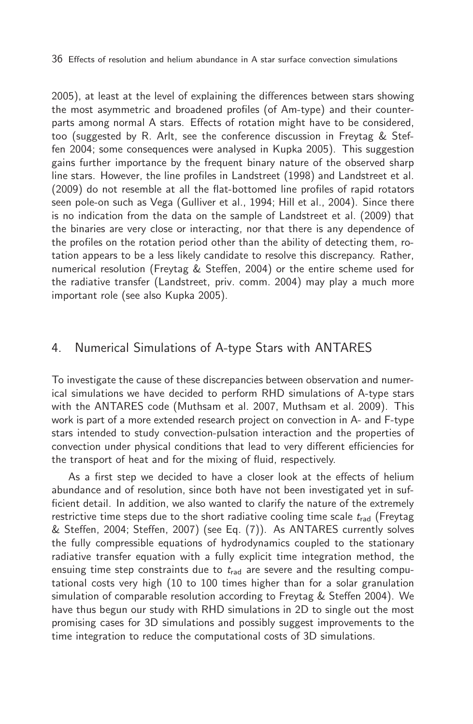2005), at least at the level of explaining the differences between stars showing the most asymmetric and broadened profiles (of Am-type) and their counterparts among normal A stars. Effects of rotation might have to be considered, too (suggested by R. Arlt, see the conference discussion in Freytag & Steffen 2004; some consequences were analysed in Kupka 2005). This suggestion gains further importance by the frequent binary nature of the observed sharp line stars. However, the line profiles in Landstreet (1998) and Landstreet et al. (2009) do not resemble at all the flat-bottomed line profiles of rapid rotators seen pole-on such as Vega (Gulliver et al., 1994; Hill et al., 2004). Since there is no indication from the data on the sample of Landstreet et al. (2009) that the binaries are very close or interacting, nor that there is any dependence of the profiles on the rotation period other than the ability of detecting them, rotation appears to be a less likely candidate to resolve this discrepancy. Rather, numerical resolution (Freytag & Steffen, 2004) or the entire scheme used for the radiative transfer (Landstreet, priv. comm. 2004) may play a much more important role (see also Kupka 2005).

# 4. Numerical Simulations of A-type Stars with ANTARES

To investigate the cause of these discrepancies between observation and numerical simulations we have decided to perform RHD simulations of A-type stars with the ANTARES code (Muthsam et al. 2007, Muthsam et al. 2009). This work is part of a more extended research project on convection in A- and F-type stars intended to study convection-pulsation interaction and the properties of convection under physical conditions that lead to very different efficiencies for the transport of heat and for the mixing of fluid, respectively.

As a first step we decided to have a closer look at the effects of helium abundance and of resolution, since both have not been investigated yet in sufficient detail. In addition, we also wanted to clarify the nature of the extremely restrictive time steps due to the short radiative cooling time scale *t*rad (Freytag & Steffen, 2004; Steffen, 2007) (see Eq. (7)). As ANTARES currently solves the fully compressible equations of hydrodynamics coupled to the stationary radiative transfer equation with a fully explicit time integration method, the ensuing time step constraints due to  $t_{rad}$  are severe and the resulting computational costs very high (10 to 100 times higher than for a solar granulation simulation of comparable resolution according to Freytag & Steffen 2004). We have thus begun our study with RHD simulations in 2D to single out the most promising cases for 3D simulations and possibly suggest improvements to the time integration to reduce the computational costs of 3D simulations.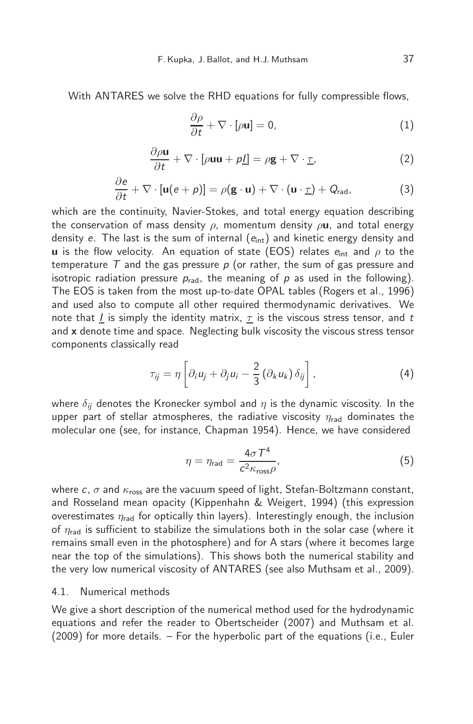With ANTARES we solve the RHD equations for fully compressible flows,

$$
\frac{\partial \rho}{\partial t} + \nabla \cdot [\rho \mathbf{u}] = 0, \tag{1}
$$

$$
\frac{\partial \rho \mathbf{u}}{\partial t} + \nabla \cdot [\rho \mathbf{u} \mathbf{u} + \rho \underline{I}] = \rho \mathbf{g} + \nabla \cdot \underline{\tau}, \tag{2}
$$

$$
\frac{\partial e}{\partial t} + \nabla \cdot [\mathbf{u}(e + \rho)] = \rho(\mathbf{g} \cdot \mathbf{u}) + \nabla \cdot (\mathbf{u} \cdot \underline{\tau}) + Q_{\text{rad}}, \tag{3}
$$

which are the continuity. Navier-Stokes, and total energy equation describing the conservation of mass density  $\rho$ , momentum density  $\rho$ **u**, and total energy density *e*. The last is the sum of internal (*e*int) and kinetic energy density and u is the flow velocity. An equation of state (EOS) relates  $e_{int}$  and  $\rho$  to the temperature *T* and the gas pressure *p* (or rather, the sum of gas pressure and isotropic radiation pressure  $p_{rad}$ , the meaning of  $p$  as used in the following). The EOS is taken from the most up-to-date OPAL tables (Rogers et al., 1996) and used also to compute all other required thermodynamic derivatives. We note that *I* is simply the identity matrix,  $\tau$  is the viscous stress tensor, and *t* and x denote time and space. Neglecting bulk viscosity the viscous stress tensor components classically read

$$
\tau_{ij} = \eta \left[ \partial_i u_j + \partial_j u_i - \frac{2}{3} \left( \partial_k u_k \right) \delta_{ij} \right], \tag{4}
$$

where  $\delta_{ii}$  denotes the Kronecker symbol and  $\eta$  is the dynamic viscosity. In the upper part of stellar atmospheres, the radiative viscosity  $\eta_{\text{rad}}$  dominates the molecular one (see, for instance, Chapman 1954). Hence, we have considered

$$
\eta = \eta_{\text{rad}} = \frac{4\sigma T^4}{c^2 \kappa_{\text{ross}} \rho},\tag{5}
$$

where  $c$ ,  $\sigma$  and  $\kappa_{\text{ross}}$  are the vacuum speed of light, Stefan-Boltzmann constant, and Rosseland mean opacity (Kippenhahn & Weigert, 1994) (this expression overestimates  $\eta_{rad}$  for optically thin layers). Interestingly enough, the inclusion of  $\eta_{\text{rad}}$  is sufficient to stabilize the simulations both in the solar case (where it remains small even in the photosphere) and for A stars (where it becomes large near the top of the simulations). This shows both the numerical stability and the very low numerical viscosity of ANTARES (see also Muthsam et al., 2009).

#### 4.1. Numerical methods

We give a short description of the numerical method used for the hydrodynamic equations and refer the reader to Obertscheider (2007) and Muthsam et al. (2009) for more details. – For the hyperbolic part of the equations (i.e., Euler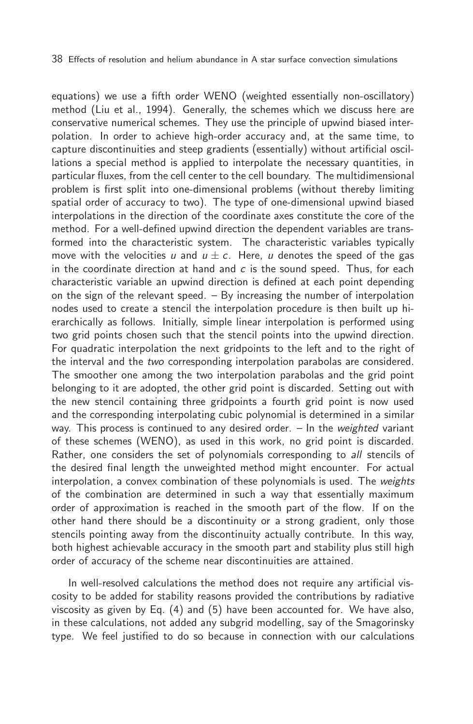equations) we use a fifth order WENO (weighted essentially non-oscillatory) method (Liu et al., 1994). Generally, the schemes which we discuss here are conservative numerical schemes. They use the principle of upwind biased interpolation. In order to achieve high-order accuracy and, at the same time, to capture discontinuities and steep gradients (essentially) without artificial oscillations a special method is applied to interpolate the necessary quantities, in particular fluxes, from the cell center to the cell boundary. The multidimensional problem is first split into one-dimensional problems (without thereby limiting spatial order of accuracy to two). The type of one-dimensional upwind biased interpolations in the direction of the coordinate axes constitute the core of the method. For a well-defined upwind direction the dependent variables are transformed into the characteristic system. The characteristic variables typically move with the velocities *u* and  $u \pm c$ . Here, *u* denotes the speed of the gas in the coordinate direction at hand and *c* is the sound speed. Thus, for each characteristic variable an upwind direction is defined at each point depending on the sign of the relevant speed. – By increasing the number of interpolation nodes used to create a stencil the interpolation procedure is then built up hierarchically as follows. Initially, simple linear interpolation is performed using two grid points chosen such that the stencil points into the upwind direction. For quadratic interpolation the next gridpoints to the left and to the right of the interval and the *two* corresponding interpolation parabolas are considered. The smoother one among the two interpolation parabolas and the grid point belonging to it are adopted, the other grid point is discarded. Setting out with the new stencil containing three gridpoints a fourth grid point is now used and the corresponding interpolating cubic polynomial is determined in a similar way. This process is continued to any desired order. – In the *weighted* variant of these schemes (WENO), as used in this work, no grid point is discarded. Rather, one considers the set of polynomials corresponding to *all* stencils of the desired final length the unweighted method might encounter. For actual interpolation, a convex combination of these polynomials is used. The *weights* of the combination are determined in such a way that essentially maximum order of approximation is reached in the smooth part of the flow. If on the other hand there should be a discontinuity or a strong gradient, only those stencils pointing away from the discontinuity actually contribute. In this way, both highest achievable accuracy in the smooth part and stability plus still high order of accuracy of the scheme near discontinuities are attained.

In well-resolved calculations the method does not require any artificial viscosity to be added for stability reasons provided the contributions by radiative viscosity as given by Eq. (4) and (5) have been accounted for. We have also, in these calculations, not added any subgrid modelling, say of the Smagorinsky type. We feel justified to do so because in connection with our calculations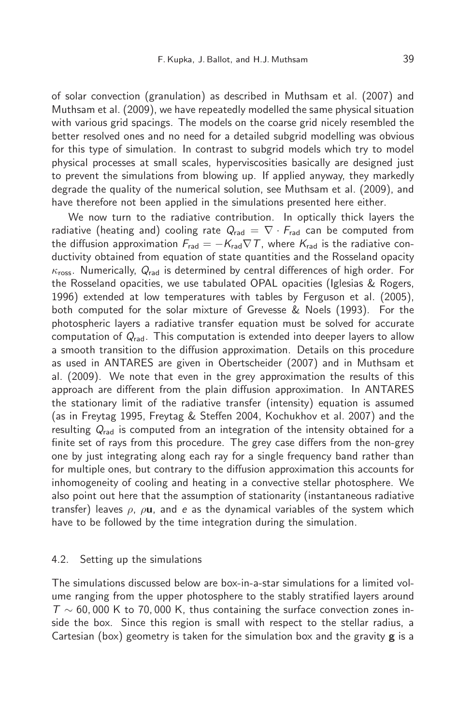of solar convection (granulation) as described in Muthsam et al. (2007) and Muthsam et al. (2009), we have repeatedly modelled the same physical situation with various grid spacings. The models on the coarse grid nicely resembled the better resolved ones and no need for a detailed subgrid modelling was obvious for this type of simulation. In contrast to subgrid models which try to model physical processes at small scales, hyperviscosities basically are designed just to prevent the simulations from blowing up. If applied anyway, they markedly degrade the quality of the numerical solution, see Muthsam et al. (2009), and have therefore not been applied in the simulations presented here either.

We now turn to the radiative contribution. In optically thick layers the radiative (heating and) cooling rate  $Q_{rad} = \nabla \cdot F_{rad}$  can be computed from the diffusion approximation  $F_{rad} = -K_{rad} \nabla T$ , where  $K_{rad}$  is the radiative conductivity obtained from equation of state quantities and the Rosseland opacity  $\kappa_{\text{ross}}$ . Numerically,  $Q_{\text{rad}}$  is determined by central differences of high order. For the Rosseland opacities, we use tabulated OPAL opacities (Iglesias & Rogers, 1996) extended at low temperatures with tables by Ferguson et al. (2005), both computed for the solar mixture of Grevesse & Noels (1993). For the photospheric layers a radiative transfer equation must be solved for accurate computation of *Q*rad. This computation is extended into deeper layers to allow a smooth transition to the diffusion approximation. Details on this procedure as used in ANTARES are given in Obertscheider (2007) and in Muthsam et al. (2009). We note that even in the grey approximation the results of this approach are different from the plain diffusion approximation. In ANTARES the stationary limit of the radiative transfer (intensity) equation is assumed (as in Freytag 1995, Freytag & Steffen 2004, Kochukhov et al. 2007) and the resulting *Q*rad is computed from an integration of the intensity obtained for a finite set of rays from this procedure. The grey case differs from the non-grey one by just integrating along each ray for a single frequency band rather than for multiple ones, but contrary to the diffusion approximation this accounts for inhomogeneity of cooling and heating in a convective stellar photosphere. We also point out here that the assumption of stationarity (instantaneous radiative transfer) leaves ρ, ρu, and *e* as the dynamical variables of the system which have to be followed by the time integration during the simulation.

#### 4.2. Setting up the simulations

The simulations discussed below are box-in-a-star simulations for a limited volume ranging from the upper photosphere to the stably stratified layers around *T* ∼ 60, 000 K to 70, 000 K, thus containing the surface convection zones inside the box. Since this region is small with respect to the stellar radius, a Cartesian (box) geometry is taken for the simulation box and the gravity  $g$  is a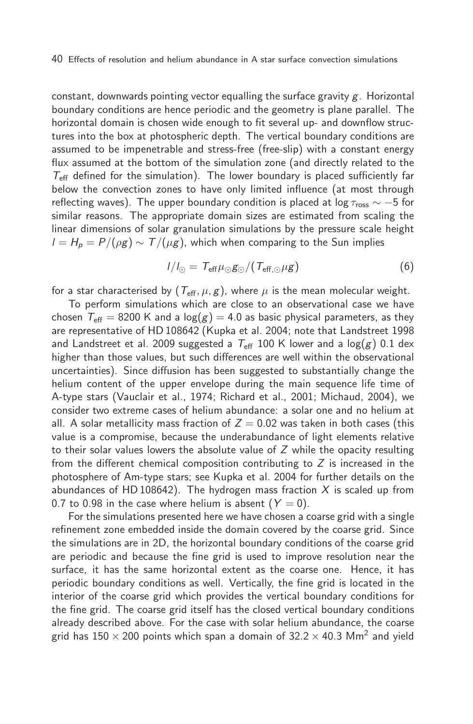constant, downwards pointing vector equalling the surface gravity *g*. Horizontal boundary conditions are hence periodic and the geometry is plane parallel. The horizontal domain is chosen wide enough to fit several up- and downflow structures into the box at photospheric depth. The vertical boundary conditions are assumed to be impenetrable and stress-free (free-slip) with a constant energy flux assumed at the bottom of the simulation zone (and directly related to the  $T_{\text{eff}}$  defined for the simulation). The lower boundary is placed sufficiently far below the convection zones to have only limited influence (at most through reflecting waves). The upper boundary condition is placed at  $log \tau_{ross} \sim -5$  for similar reasons. The appropriate domain sizes are estimated from scaling the linear dimensions of solar granulation simulations by the pressure scale height  $I = H_p = P/(\rho g) \sim T/(\mu g)$ , which when comparing to the Sun implies

$$
I/I_{\odot} = T_{\text{eff}}\mu_{\odot}g_{\odot}/(T_{\text{eff},\odot}\mu g) \tag{6}
$$

for a star characterised by  $(T_{\text{eff}}, \mu, g)$ , where  $\mu$  is the mean molecular weight.

To perform simulations which are close to an observational case we have chosen  $T_{\text{eff}} = 8200 \text{ K}$  and a  $\log(g) = 4.0$  as basic physical parameters, as they are representative of HD 108642 (Kupka et al. 2004; note that Landstreet 1998 and Landstreet et al. 2009 suggested a  $T_{\text{eff}}$  100 K lower and a  $\log(g)$  0.1 dex higher than those values, but such differences are well within the observational uncertainties). Since diffusion has been suggested to substantially change the helium content of the upper envelope during the main sequence life time of A-type stars (Vauclair et al., 1974; Richard et al., 2001; Michaud, 2004), we consider two extreme cases of helium abundance: a solar one and no helium at all. A solar metallicity mass fraction of  $Z = 0.02$  was taken in both cases (this value is a compromise, because the underabundance of light elements relative to their solar values lowers the absolute value of *Z* while the opacity resulting from the different chemical composition contributing to *Z* is increased in the photosphere of Am-type stars; see Kupka et al. 2004 for further details on the abundances of HD 108642). The hydrogen mass fraction *X* is scaled up from 0.7 to 0.98 in the case where helium is absent  $(Y = 0)$ .

For the simulations presented here we have chosen a coarse grid with a single refinement zone embedded inside the domain covered by the coarse grid. Since the simulations are in 2D, the horizontal boundary conditions of the coarse grid are periodic and because the fine grid is used to improve resolution near the surface, it has the same horizontal extent as the coarse one. Hence, it has periodic boundary conditions as well. Vertically, the fine grid is located in the interior of the coarse grid which provides the vertical boundary conditions for the fine grid. The coarse grid itself has the closed vertical boundary conditions already described above. For the case with solar helium abundance, the coarse grid has  $150 \times 200$  points which span a domain of 32.2  $\times$  40.3 Mm<sup>2</sup> and yield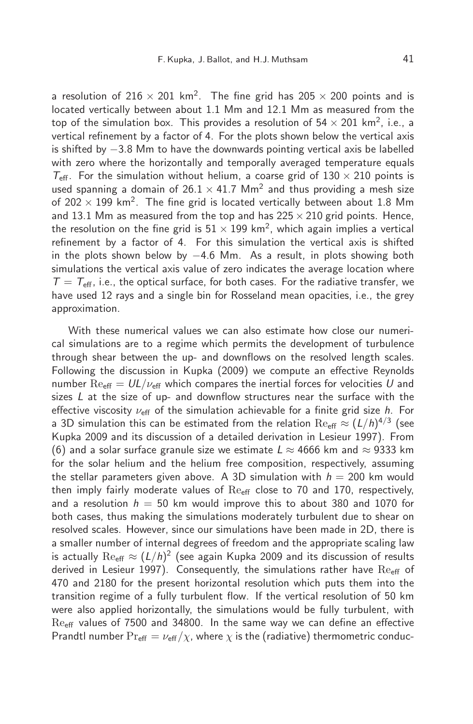a resolution of 216  $\times$  201 km<sup>2</sup>. The fine grid has 205  $\times$  200 points and is located vertically between about 1.1 Mm and 12.1 Mm as measured from the top of the simulation box. This provides a resolution of 54  $\times$  201 km<sup>2</sup>, i.e., a vertical refinement by a factor of 4. For the plots shown below the vertical axis is shifted by −3.8 Mm to have the downwards pointing vertical axis be labelled with zero where the horizontally and temporally averaged temperature equals  $T_{\text{eff}}$ . For the simulation without helium, a coarse grid of  $130 \times 210$  points is used spanning a domain of 26.1  $\times$  41.7 Mm<sup>2</sup> and thus providing a mesh size of 202  $\times$  199 km<sup>2</sup>. The fine grid is located vertically between about 1.8 Mm and 13.1 Mm as measured from the top and has  $225 \times 210$  grid points. Hence, the resolution on the fine grid is 51  $\times$  199 km<sup>2</sup>, which again implies a vertical refinement by a factor of 4. For this simulation the vertical axis is shifted in the plots shown below by −4.6 Mm. As a result, in plots showing both simulations the vertical axis value of zero indicates the average location where  $T = T<sub>eff</sub>$ , i.e., the optical surface, for both cases. For the radiative transfer, we have used 12 rays and a single bin for Rosseland mean opacities, i.e., the grey approximation.

With these numerical values we can also estimate how close our numerical simulations are to a regime which permits the development of turbulence through shear between the up- and downflows on the resolved length scales. Following the discussion in Kupka (2009) we compute an effective Reynolds number  $Re_{\text{eff}} = UL/\nu_{\text{eff}}$  which compares the inertial forces for velocities U and sizes *L* at the size of up- and downflow structures near the surface with the effective viscosity νeff of the simulation achievable for a finite grid size *h*. For a 3D simulation this can be estimated from the relation  ${\rm Re}_{\rm eff} \approx (L/h)^{4/3}$  (see Kupka 2009 and its discussion of a detailed derivation in Lesieur 1997). From (6) and a solar surface granule size we estimate  $L \approx 4666$  km and  $\approx 9333$  km for the solar helium and the helium free composition, respectively, assuming the stellar parameters given above. A 3D simulation with  $h = 200$  km would then imply fairly moderate values of  $\text{Re}_{\text{eff}}$  close to 70 and 170, respectively, and a resolution  $h = 50$  km would improve this to about 380 and 1070 for both cases, thus making the simulations moderately turbulent due to shear on resolved scales. However, since our simulations have been made in 2D, there is a smaller number of internal degrees of freedom and the appropriate scaling law is actually  ${\rm Re}_{\rm eff} \approx (L/h)^2$  (see again Kupka 2009 and its discussion of results derived in Lesieur 1997). Consequently, the simulations rather have  $\text{Re}_{\text{eff}}$  of 470 and 2180 for the present horizontal resolution which puts them into the transition regime of a fully turbulent flow. If the vertical resolution of 50 km were also applied horizontally, the simulations would be fully turbulent, with  $Re<sub>eff</sub>$  values of 7500 and 34800. In the same way we can define an effective Prandtl number  $Pr_{\text{eff}} = \nu_{\text{eff}} / \chi$ , where  $\chi$  is the (radiative) thermometric conduc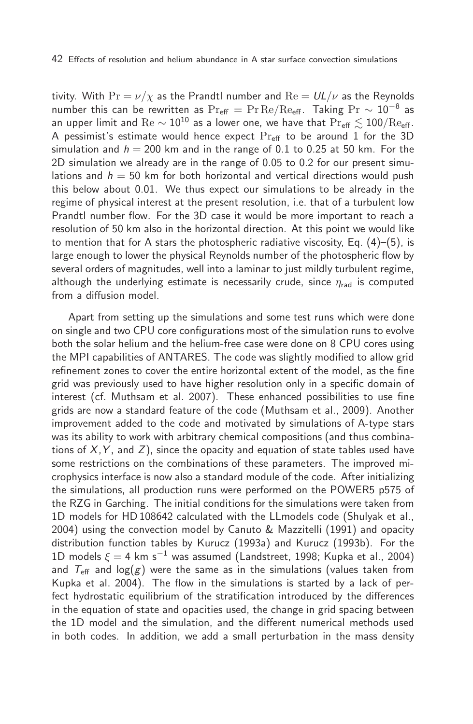tivity. With  $Pr = \nu / \chi$  as the Prandtl number and  $Re = UL / \nu$  as the Reynolds number this can be rewritten as  $\mathrm{Pr}_{\text{eff}} = \mathrm{Pr}\,\mathrm{Re}/\mathrm{Re}_{\text{eff}}$ . Taking  $\mathrm{Pr} \sim 10^{-8}$  as an upper limit and  $\text{Re} \sim 10^{10}$  as a lower one, we have that  $\text{Pr}_{\text{eff}} \leq 100/\text{Re}_{\text{eff}}$ . A pessimist's estimate would hence expect  $Pr_{eff}$  to be around 1 for the 3D simulation and  $h = 200$  km and in the range of 0.1 to 0.25 at 50 km. For the 2D simulation we already are in the range of 0.05 to 0.2 for our present simulations and  $h = 50$  km for both horizontal and vertical directions would push this below about 0.01. We thus expect our simulations to be already in the regime of physical interest at the present resolution, i.e. that of a turbulent low Prandtl number flow. For the 3D case it would be more important to reach a resolution of 50 km also in the horizontal direction. At this point we would like to mention that for A stars the photospheric radiative viscosity, Eq.  $(4)$ – $(5)$ , is large enough to lower the physical Reynolds number of the photospheric flow by several orders of magnitudes, well into a laminar to just mildly turbulent regime, although the underlying estimate is necessarily crude, since  $\eta_{rad}$  is computed from a diffusion model.

Apart from setting up the simulations and some test runs which were done on single and two CPU core configurations most of the simulation runs to evolve both the solar helium and the helium-free case were done on 8 CPU cores using the MPI capabilities of ANTARES. The code was slightly modified to allow grid refinement zones to cover the entire horizontal extent of the model, as the fine grid was previously used to have higher resolution only in a specific domain of interest (cf. Muthsam et al. 2007). These enhanced possibilities to use fine grids are now a standard feature of the code (Muthsam et al., 2009). Another improvement added to the code and motivated by simulations of A-type stars was its ability to work with arbitrary chemical compositions (and thus combinations of *X*,*Y* , and *Z*), since the opacity and equation of state tables used have some restrictions on the combinations of these parameters. The improved microphysics interface is now also a standard module of the code. After initializing the simulations, all production runs were performed on the POWER5 p575 of the RZG in Garching. The initial conditions for the simulations were taken from 1D models for HD 108642 calculated with the LLmodels code (Shulyak et al., 2004) using the convection model by Canuto & Mazzitelli (1991) and opacity distribution function tables by Kurucz (1993a) and Kurucz (1993b). For the 1D models  $\xi = 4$  km s<sup>-1</sup> was assumed (Landstreet, 1998; Kupka et al., 2004) and  $T_{\text{eff}}$  and  $\log(g)$  were the same as in the simulations (values taken from Kupka et al. 2004). The flow in the simulations is started by a lack of perfect hydrostatic equilibrium of the stratification introduced by the differences in the equation of state and opacities used, the change in grid spacing between the 1D model and the simulation, and the different numerical methods used in both codes. In addition, we add a small perturbation in the mass density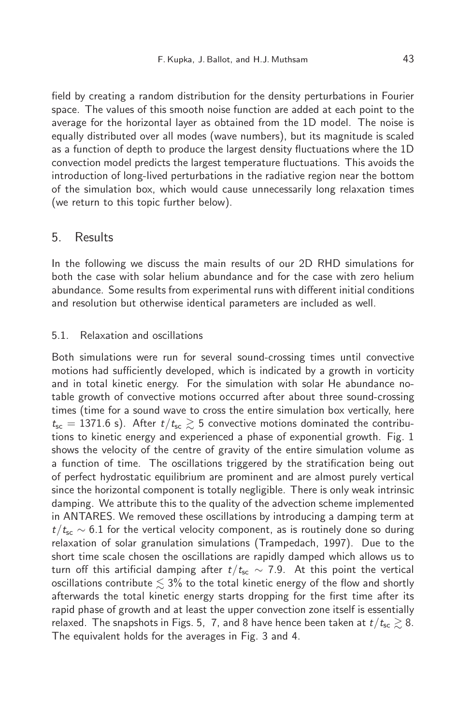field by creating a random distribution for the density perturbations in Fourier space. The values of this smooth noise function are added at each point to the average for the horizontal layer as obtained from the 1D model. The noise is equally distributed over all modes (wave numbers), but its magnitude is scaled as a function of depth to produce the largest density fluctuations where the 1D convection model predicts the largest temperature fluctuations. This avoids the introduction of long-lived perturbations in the radiative region near the bottom of the simulation box, which would cause unnecessarily long relaxation times (we return to this topic further below).

### 5. Results

In the following we discuss the main results of our 2D RHD simulations for both the case with solar helium abundance and for the case with zero helium abundance. Some results from experimental runs with different initial conditions and resolution but otherwise identical parameters are included as well.

#### 5.1. Relaxation and oscillations

Both simulations were run for several sound-crossing times until convective motions had sufficiently developed, which is indicated by a growth in vorticity and in total kinetic energy. For the simulation with solar He abundance notable growth of convective motions occurred after about three sound-crossing times (time for a sound wave to cross the entire simulation box vertically, here  $t_{\rm sc} = 1371.6$  s). After  $t/t_{\rm sc} \ge 5$  convective motions dominated the contributions to kinetic energy and experienced a phase of exponential growth. Fig. 1 shows the velocity of the centre of gravity of the entire simulation volume as a function of time. The oscillations triggered by the stratification being out of perfect hydrostatic equilibrium are prominent and are almost purely vertical since the horizontal component is totally negligible. There is only weak intrinsic damping. We attribute this to the quality of the advection scheme implemented in ANTARES. We removed these oscillations by introducing a damping term at *t*/*t*<sub>sc</sub> ~ 6.1 for the vertical velocity component, as is routinely done so during relaxation of solar granulation simulations (Trampedach, 1997). Due to the short time scale chosen the oscillations are rapidly damped which allows us to turn off this artificial damping after  $t/t_{sc} \sim 7.9$ . At this point the vertical oscillations contribute  $\lesssim$  3% to the total kinetic energy of the flow and shortly afterwards the total kinetic energy starts dropping for the first time after its rapid phase of growth and at least the upper convection zone itself is essentially relaxed. The snapshots in Figs. 5, 7, and 8 have hence been taken at  $t/t_{\rm sc} \gtrsim 8$ . The equivalent holds for the averages in Fig. 3 and 4.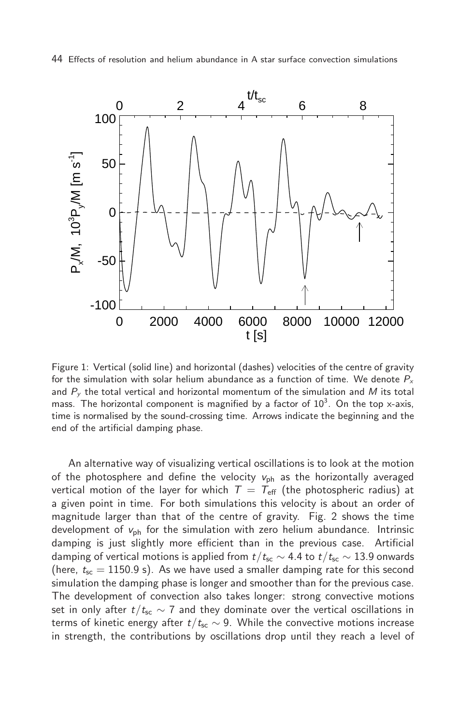

Figure 1: Vertical (solid line) and horizontal (dashes) velocities of the centre of gravity for the simulation with solar helium abundance as a function of time. We denote  $P_x$ and *P*<sup>y</sup> the total vertical and horizontal momentum of the simulation and *M* its total mass. The horizontal component is magnified by a factor of  $10^3$ . On the top x-axis, time is normalised by the sound-crossing time. Arrows indicate the beginning and the end of the artificial damping phase.

An alternative way of visualizing vertical oscillations is to look at the motion of the photosphere and define the velocity  $v_{ph}$  as the horizontally averaged vertical motion of the layer for which  $T = T_{\text{eff}}$  (the photospheric radius) at a given point in time. For both simulations this velocity is about an order of magnitude larger than that of the centre of gravity. Fig. 2 shows the time development of  $v_{\text{ph}}$  for the simulation with zero helium abundance. Intrinsic damping is just slightly more efficient than in the previous case. Artificial damping of vertical motions is applied from  $t/t_{\rm sc} \sim 4.4$  to  $t/t_{\rm sc} \sim 13.9$  onwards (here,  $t_{sc} = 1150.9$  s). As we have used a smaller damping rate for this second simulation the damping phase is longer and smoother than for the previous case. The development of convection also takes longer: strong convective motions set in only after *t*/*t*sc ∼ 7 and they dominate over the vertical oscillations in terms of kinetic energy after *t*/*t*sc ∼ 9. While the convective motions increase in strength, the contributions by oscillations drop until they reach a level of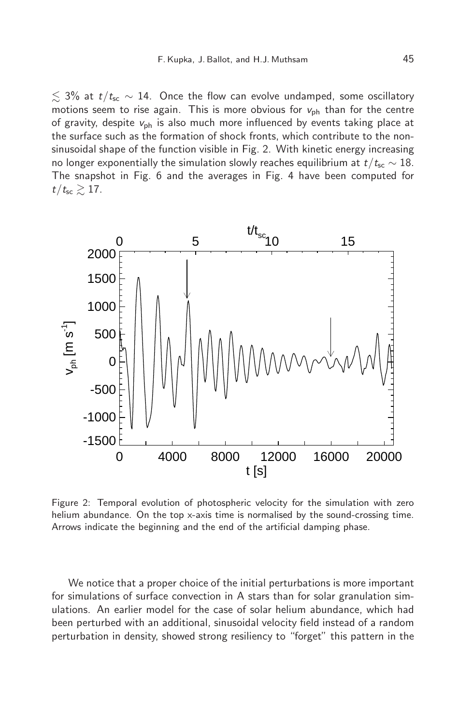. 3% at *t*/*t*sc ∼ 14. Once the flow can evolve undamped, some oscillatory motions seem to rise again. This is more obvious for  $v_{\text{ph}}$  than for the centre of gravity, despite  $v_{\text{ph}}$  is also much more influenced by events taking place at the surface such as the formation of shock fronts, which contribute to the nonsinusoidal shape of the function visible in Fig. 2. With kinetic energy increasing no longer exponentially the simulation slowly reaches equilibrium at  $t/t_{\rm sc} \sim 18$ . The snapshot in Fig. 6 and the averages in Fig. 4 have been computed for  $t/t_{\rm sc} \gtrsim 17$ .



Figure 2: Temporal evolution of photospheric velocity for the simulation with zero helium abundance. On the top x-axis time is normalised by the sound-crossing time. Arrows indicate the beginning and the end of the artificial damping phase.

We notice that a proper choice of the initial perturbations is more important for simulations of surface convection in A stars than for solar granulation simulations. An earlier model for the case of solar helium abundance, which had been perturbed with an additional, sinusoidal velocity field instead of a random perturbation in density, showed strong resiliency to "forget" this pattern in the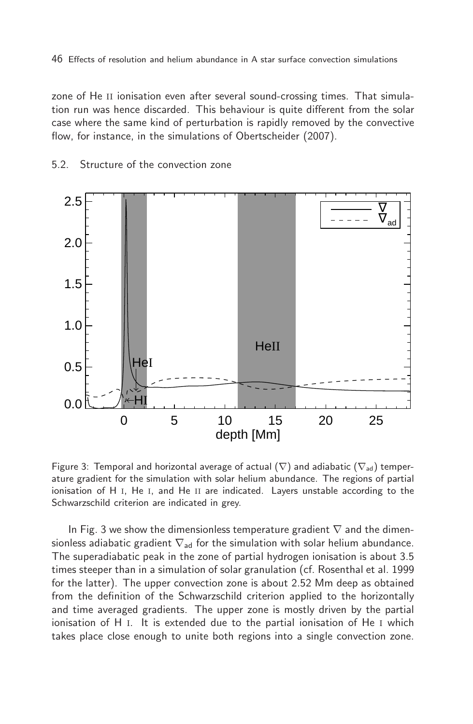zone of He II ionisation even after several sound-crossing times. That simulation run was hence discarded. This behaviour is quite different from the solar case where the same kind of perturbation is rapidly removed by the convective flow, for instance, in the simulations of Obertscheider (2007).



#### 5.2. Structure of the convection zone

Figure 3: Temporal and horizontal average of actual ( $\nabla$ ) and adiabatic ( $\nabla_{ad}$ ) temperature gradient for the simulation with solar helium abundance. The regions of partial ionisation of H I, He I, and He II are indicated. Layers unstable according to the Schwarzschild criterion are indicated in grey.

In Fig. 3 we show the dimensionless temperature gradient  $\nabla$  and the dimensionless adiabatic gradient  $\nabla_{ad}$  for the simulation with solar helium abundance. The superadiabatic peak in the zone of partial hydrogen ionisation is about 3.5 times steeper than in a simulation of solar granulation (cf. Rosenthal et al. 1999 for the latter). The upper convection zone is about 2.52 Mm deep as obtained from the definition of the Schwarzschild criterion applied to the horizontally and time averaged gradients. The upper zone is mostly driven by the partial ionisation of H i. It is extended due to the partial ionisation of He i which takes place close enough to unite both regions into a single convection zone.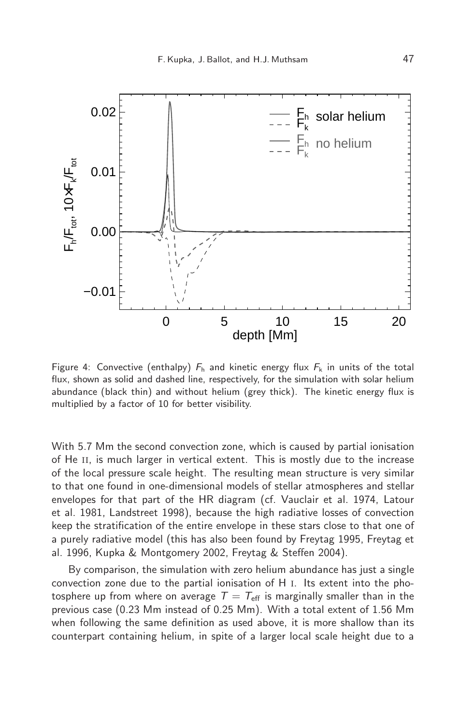

Figure 4: Convective (enthalpy)  $F_h$  and kinetic energy flux  $F_k$  in units of the total flux, shown as solid and dashed line, respectively, for the simulation with solar helium abundance (black thin) and without helium (grey thick). The kinetic energy flux is multiplied by a factor of 10 for better visibility.

With 5.7 Mm the second convection zone, which is caused by partial ionisation of He II, is much larger in vertical extent. This is mostly due to the increase of the local pressure scale height. The resulting mean structure is very similar to that one found in one-dimensional models of stellar atmospheres and stellar envelopes for that part of the HR diagram (cf. Vauclair et al. 1974, Latour et al. 1981, Landstreet 1998), because the high radiative losses of convection keep the stratification of the entire envelope in these stars close to that one of a purely radiative model (this has also been found by Freytag 1995, Freytag et al. 1996, Kupka & Montgomery 2002, Freytag & Steffen 2004).

By comparison, the simulation with zero helium abundance has just a single convection zone due to the partial ionisation of H i. Its extent into the photosphere up from where on average  $T = T_{\text{eff}}$  is marginally smaller than in the previous case (0.23 Mm instead of 0.25 Mm). With a total extent of 1.56 Mm when following the same definition as used above, it is more shallow than its counterpart containing helium, in spite of a larger local scale height due to a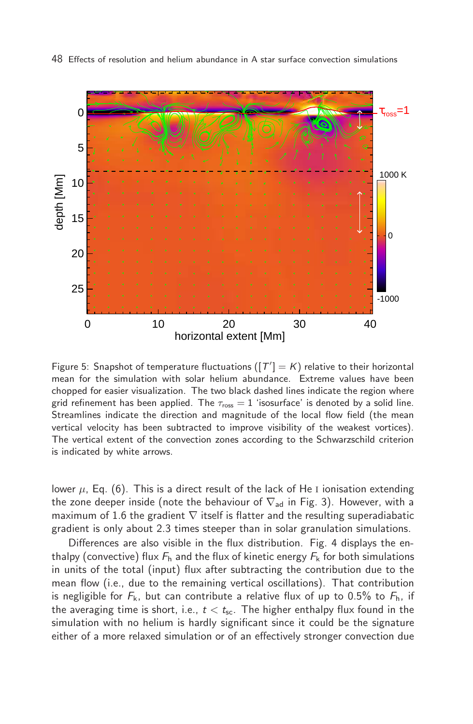

Figure 5: Snapshot of temperature fluctuations ( $[T'] = K$ ) relative to their horizontal mean for the simulation with solar helium abundance. Extreme values have been chopped for easier visualization. The two black dashed lines indicate the region where grid refinement has been applied. The  $\tau_{\text{ross}} = 1$  'isosurface' is denoted by a solid line. Streamlines indicate the direction and magnitude of the local flow field (the mean vertical velocity has been subtracted to improve visibility of the weakest vortices). The vertical extent of the convection zones according to the Schwarzschild criterion is indicated by white arrows.

lower  $\mu$ , Eq. (6). This is a direct result of the lack of He I ionisation extending the zone deeper inside (note the behaviour of  $\nabla_{ad}$  in Fig. 3). However, with a maximum of 1.6 the gradient  $\nabla$  itself is flatter and the resulting superadiabatic gradient is only about 2.3 times steeper than in solar granulation simulations.

Differences are also visible in the flux distribution. Fig. 4 displays the enthalpy (convective) flux  $F_h$  and the flux of kinetic energy  $F_k$  for both simulations in units of the total (input) flux after subtracting the contribution due to the mean flow (i.e., due to the remaining vertical oscillations). That contribution is negligible for  $F_k$ , but can contribute a relative flux of up to 0.5% to  $F_h$ , if the averaging time is short, i.e.,  $t < t_{\text{sc}}$ . The higher enthalpy flux found in the simulation with no helium is hardly significant since it could be the signature either of a more relaxed simulation or of an effectively stronger convection due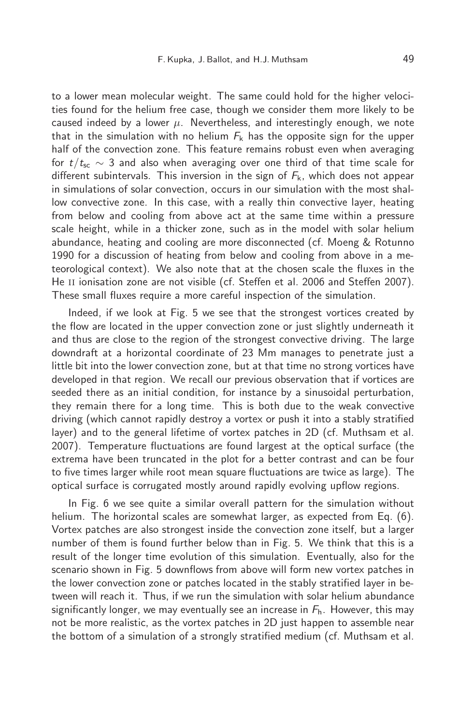to a lower mean molecular weight. The same could hold for the higher velocities found for the helium free case, though we consider them more likely to be caused indeed by a lower  $\mu$ . Nevertheless, and interestingly enough, we note that in the simulation with no helium  $F_k$  has the opposite sign for the upper half of the convection zone. This feature remains robust even when averaging for  $t/t_{sc} \sim 3$  and also when averaging over one third of that time scale for different subintervals. This inversion in the sign of  $F_k$ , which does not appear in simulations of solar convection, occurs in our simulation with the most shallow convective zone. In this case, with a really thin convective layer, heating from below and cooling from above act at the same time within a pressure scale height, while in a thicker zone, such as in the model with solar helium abundance, heating and cooling are more disconnected (cf. Moeng & Rotunno 1990 for a discussion of heating from below and cooling from above in a meteorological context). We also note that at the chosen scale the fluxes in the He II ionisation zone are not visible (cf. Steffen et al. 2006 and Steffen 2007). These small fluxes require a more careful inspection of the simulation.

Indeed, if we look at Fig. 5 we see that the strongest vortices created by the flow are located in the upper convection zone or just slightly underneath it and thus are close to the region of the strongest convective driving. The large downdraft at a horizontal coordinate of 23 Mm manages to penetrate just a little bit into the lower convection zone, but at that time no strong vortices have developed in that region. We recall our previous observation that if vortices are seeded there as an initial condition, for instance by a sinusoidal perturbation, they remain there for a long time. This is both due to the weak convective driving (which cannot rapidly destroy a vortex or push it into a stably stratified layer) and to the general lifetime of vortex patches in 2D (cf. Muthsam et al. 2007). Temperature fluctuations are found largest at the optical surface (the extrema have been truncated in the plot for a better contrast and can be four to five times larger while root mean square fluctuations are twice as large). The optical surface is corrugated mostly around rapidly evolving upflow regions.

In Fig. 6 we see quite a similar overall pattern for the simulation without helium. The horizontal scales are somewhat larger, as expected from Eq. (6). Vortex patches are also strongest inside the convection zone itself, but a larger number of them is found further below than in Fig. 5. We think that this is a result of the longer time evolution of this simulation. Eventually, also for the scenario shown in Fig. 5 downflows from above will form new vortex patches in the lower convection zone or patches located in the stably stratified layer in between will reach it. Thus, if we run the simulation with solar helium abundance significantly longer, we may eventually see an increase in *F*h. However, this may not be more realistic, as the vortex patches in 2D just happen to assemble near the bottom of a simulation of a strongly stratified medium (cf. Muthsam et al.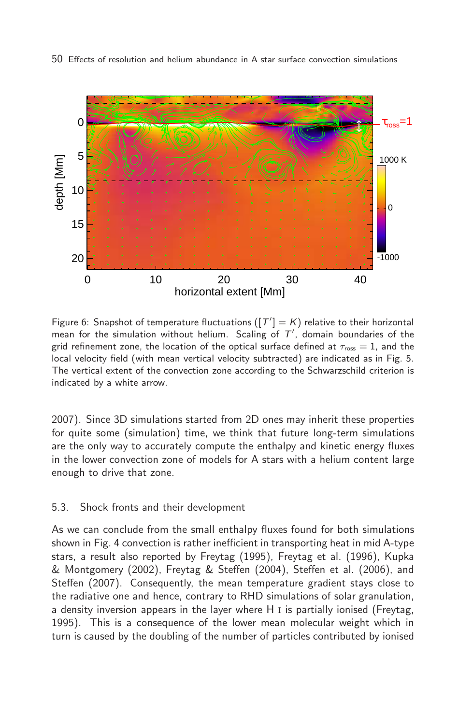

Figure 6: Snapshot of temperature fluctuations ( $[T'] = K$ ) relative to their horizontal mean for the simulation without helium. Scaling of  $T'$ , domain boundaries of the grid refinement zone, the location of the optical surface defined at  $\tau_{\text{ross}} = 1$ , and the local velocity field (with mean vertical velocity subtracted) are indicated as in Fig. 5. The vertical extent of the convection zone according to the Schwarzschild criterion is indicated by a white arrow.

2007). Since 3D simulations started from 2D ones may inherit these properties for quite some (simulation) time, we think that future long-term simulations are the only way to accurately compute the enthalpy and kinetic energy fluxes in the lower convection zone of models for A stars with a helium content large enough to drive that zone.

#### 5.3. Shock fronts and their development

As we can conclude from the small enthalpy fluxes found for both simulations shown in Fig. 4 convection is rather inefficient in transporting heat in mid A-type stars, a result also reported by Freytag (1995), Freytag et al. (1996), Kupka & Montgomery (2002), Freytag & Steffen (2004), Steffen et al. (2006), and Steffen (2007). Consequently, the mean temperature gradient stays close to the radiative one and hence, contrary to RHD simulations of solar granulation, a density inversion appears in the layer where  $H I$  is partially ionised (Freytag, 1995). This is a consequence of the lower mean molecular weight which in turn is caused by the doubling of the number of particles contributed by ionised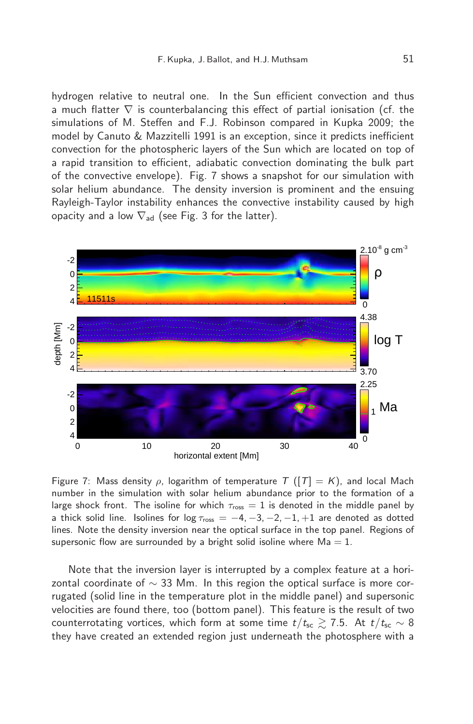hydrogen relative to neutral one. In the Sun efficient convection and thus a much flatter  $\nabla$  is counterbalancing this effect of partial ionisation (cf. the simulations of M. Steffen and F.J. Robinson compared in Kupka 2009; the model by Canuto & Mazzitelli 1991 is an exception, since it predicts inefficient convection for the photospheric layers of the Sun which are located on top of a rapid transition to efficient, adiabatic convection dominating the bulk part of the convective envelope). Fig. 7 shows a snapshot for our simulation with solar helium abundance. The density inversion is prominent and the ensuing Rayleigh-Taylor instability enhances the convective instability caused by high opacity and a low  $\nabla_{ad}$  (see Fig. 3 for the latter).



Figure 7: Mass density  $\rho$ , logarithm of temperature *T* ( $|T| = K$ ), and local Mach number in the simulation with solar helium abundance prior to the formation of a large shock front. The isoline for which  $\tau_{\text{ross}} = 1$  is denoted in the middle panel by a thick solid line. Isolines for  $log \tau_{ross} = -4, -3, -2, -1, +1$  are denoted as dotted lines. Note the density inversion near the optical surface in the top panel. Regions of supersonic flow are surrounded by a bright solid isoline where  $Ma = 1$ .

Note that the inversion layer is interrupted by a complex feature at a horizontal coordinate of  $\sim$  33 Mm. In this region the optical surface is more corrugated (solid line in the temperature plot in the middle panel) and supersonic velocities are found there, too (bottom panel). This feature is the result of two counterrotating vortices, which form at some time  $t/t_{\rm sc} \gtrsim 7.5$ . At  $t/t_{\rm sc} \sim 8$ they have created an extended region just underneath the photosphere with a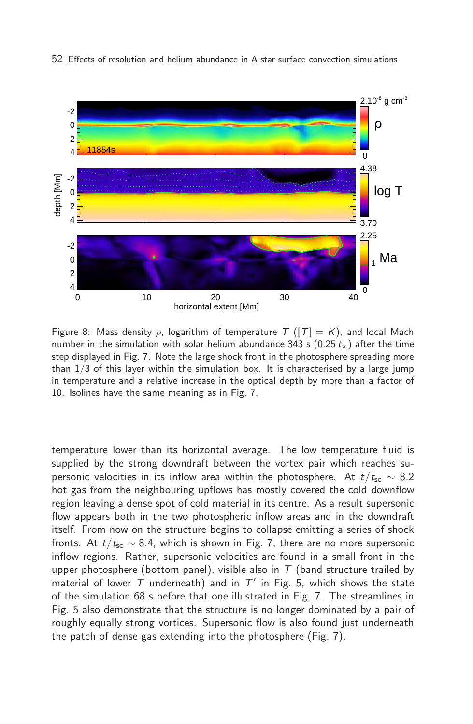

Figure 8: Mass density  $\rho$ , logarithm of temperature *T* ( $|T| = K$ ), and local Mach number in the simulation with solar helium abundance 343 s (0.25 *t*sc) after the time step displayed in Fig. 7. Note the large shock front in the photosphere spreading more than  $1/3$  of this layer within the simulation box. It is characterised by a large jump in temperature and a relative increase in the optical depth by more than a factor of 10. Isolines have the same meaning as in Fig. 7.

temperature lower than its horizontal average. The low temperature fluid is supplied by the strong downdraft between the vortex pair which reaches supersonic velocities in its inflow area within the photosphere. At  $t/t_{sc} \sim 8.2$ hot gas from the neighbouring upflows has mostly covered the cold downflow region leaving a dense spot of cold material in its centre. As a result supersonic flow appears both in the two photospheric inflow areas and in the downdraft itself. From now on the structure begins to collapse emitting a series of shock fronts. At  $t/t_{sc} \sim 8.4$ , which is shown in Fig. 7, there are no more supersonic inflow regions. Rather, supersonic velocities are found in a small front in the upper photosphere (bottom panel), visible also in  $T$  (band structure trailed by material of lower  $\overline{T}$  underneath) and in  $T'$  in Fig. 5, which shows the state of the simulation 68 s before that one illustrated in Fig. 7. The streamlines in Fig. 5 also demonstrate that the structure is no longer dominated by a pair of roughly equally strong vortices. Supersonic flow is also found just underneath the patch of dense gas extending into the photosphere (Fig. 7).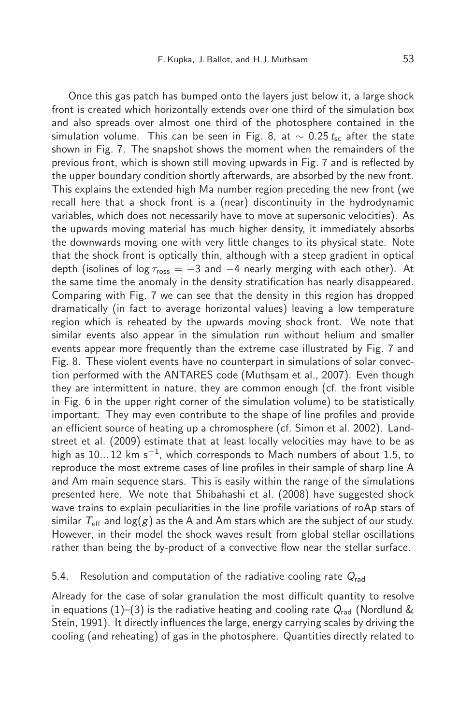Once this gas patch has bumped onto the layers just below it, a large shock front is created which horizontally extends over one third of the simulation box and also spreads over almost one third of the photosphere contained in the simulation volume. This can be seen in Fig. 8, at  $\sim 0.25 t_{sr}$  after the state shown in Fig. 7. The snapshot shows the moment when the remainders of the previous front, which is shown still moving upwards in Fig. 7 and is reflected by the upper boundary condition shortly afterwards, are absorbed by the new front. This explains the extended high Ma number region preceding the new front (we recall here that a shock front is a (near) discontinuity in the hydrodynamic variables, which does not necessarily have to move at supersonic velocities). As the upwards moving material has much higher density, it immediately absorbs the downwards moving one with very little changes to its physical state. Note that the shock front is optically thin, although with a steep gradient in optical depth (isolines of  $log \tau_{ross} = -3$  and −4 nearly merging with each other). At the same time the anomaly in the density stratification has nearly disappeared. Comparing with Fig. 7 we can see that the density in this region has dropped dramatically (in fact to average horizontal values) leaving a low temperature region which is reheated by the upwards moving shock front. We note that similar events also appear in the simulation run without helium and smaller events appear more frequently than the extreme case illustrated by Fig. 7 and Fig. 8. These violent events have no counterpart in simulations of solar convection performed with the ANTARES code (Muthsam et al., 2007). Even though they are intermittent in nature, they are common enough (cf. the front visible in Fig. 6 in the upper right corner of the simulation volume) to be statistically important. They may even contribute to the shape of line profiles and provide an efficient source of heating up a chromosphere (cf. Simon et al. 2002). Landstreet et al. (2009) estimate that at least locally velocities may have to be as high as 10... 12 km s<sup>-1</sup>, which corresponds to Mach numbers of about 1.5, to reproduce the most extreme cases of line profiles in their sample of sharp line A and Am main sequence stars. This is easily within the range of the simulations presented here. We note that Shibahashi et al. (2008) have suggested shock wave trains to explain peculiarities in the line profile variations of roAp stars of similar  $T_{\text{eff}}$  and  $\log(g)$  as the A and Am stars which are the subject of our study. However, in their model the shock waves result from global stellar oscillations rather than being the by-product of a convective flow near the stellar surface.

#### 5.4. Resolution and computation of the radiative cooling rate *Q*rad

Already for the case of solar granulation the most difficult quantity to resolve in equations (1)–(3) is the radiative heating and cooling rate  $Q_{\text{rad}}$  (Nordlund & Stein, 1991). It directly influences the large, energy carrying scales by driving the cooling (and reheating) of gas in the photosphere. Quantities directly related to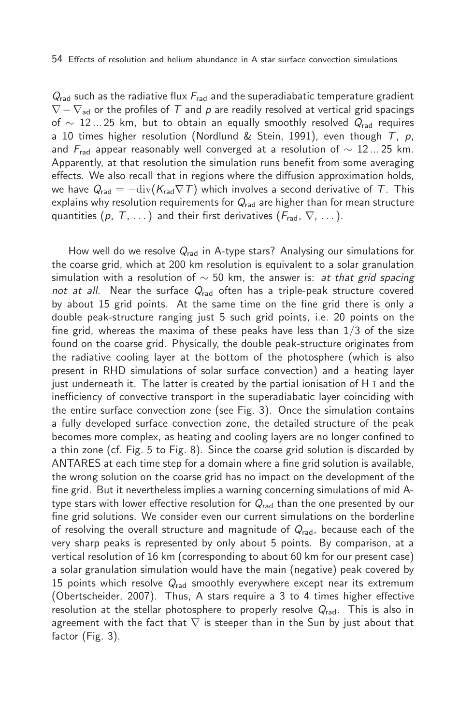*Q*<sub>rad</sub> such as the radiative flux  $F_{rad}$  and the superadiabatic temperature gradient  $\nabla - \nabla_{ad}$  or the profiles of T and p are readily resolved at vertical grid spacings of ∼ 12 ... 25 km, but to obtain an equally smoothly resolved *Q*rad requires a 10 times higher resolution (Nordlund & Stein, 1991), even though *T*, *p*, and  $F_{rad}$  appear reasonably well converged at a resolution of  $\sim 12...25$  km. Apparently, at that resolution the simulation runs benefit from some averaging effects. We also recall that in regions where the diffusion approximation holds, we have  $Q_{\text{rad}} = -\text{div}(K_{\text{rad}}\nabla T)$  which involves a second derivative of *T*. This explains why resolution requirements for Q<sub>rad</sub> are higher than for mean structure quantities  $(p, T, \ldots)$  and their first derivatives  $(F_{rad}, \nabla, \ldots)$ .

How well do we resolve  $Q_{rad}$  in A-type stars? Analysing our simulations for the coarse grid, which at 200 km resolution is equivalent to a solar granulation simulation with a resolution of ∼ 50 km, the answer is: *at that grid spacing not at all.* Near the surface  $Q_{rad}$  often has a triple-peak structure covered by about 15 grid points. At the same time on the fine grid there is only a double peak-structure ranging just 5 such grid points, i.e. 20 points on the fine grid, whereas the maxima of these peaks have less than  $1/3$  of the size found on the coarse grid. Physically, the double peak-structure originates from the radiative cooling layer at the bottom of the photosphere (which is also present in RHD simulations of solar surface convection) and a heating layer just underneath it. The latter is created by the partial ionisation of H i and the inefficiency of convective transport in the superadiabatic layer coinciding with the entire surface convection zone (see Fig. 3). Once the simulation contains a fully developed surface convection zone, the detailed structure of the peak becomes more complex, as heating and cooling layers are no longer confined to a thin zone (cf. Fig. 5 to Fig. 8). Since the coarse grid solution is discarded by ANTARES at each time step for a domain where a fine grid solution is available, the wrong solution on the coarse grid has no impact on the development of the fine grid. But it nevertheless implies a warning concerning simulations of mid Atype stars with lower effective resolution for  $Q_{rad}$  than the one presented by our fine grid solutions. We consider even our current simulations on the borderline of resolving the overall structure and magnitude of *Q*rad, because each of the very sharp peaks is represented by only about 5 points. By comparison, at a vertical resolution of 16 km (corresponding to about 60 km for our present case) a solar granulation simulation would have the main (negative) peak covered by 15 points which resolve *Q*rad smoothly everywhere except near its extremum (Obertscheider, 2007). Thus, A stars require a 3 to 4 times higher effective resolution at the stellar photosphere to properly resolve *Q*rad. This is also in agreement with the fact that  $\nabla$  is steeper than in the Sun by just about that factor (Fig. 3).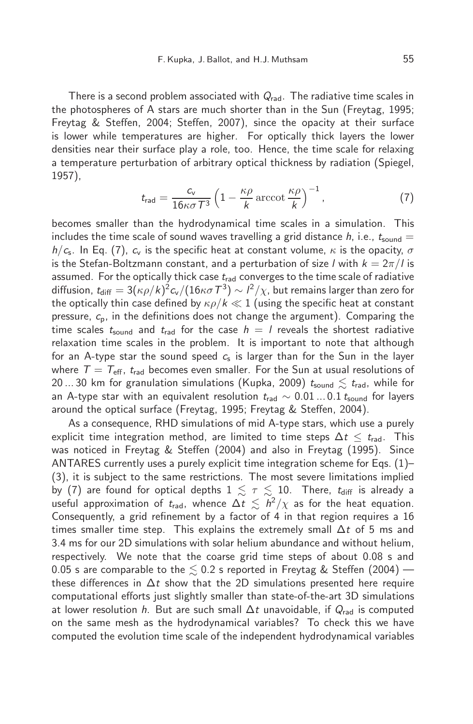There is a second problem associated with  $Q_{rad}$ . The radiative time scales in the photospheres of A stars are much shorter than in the Sun (Freytag, 1995; Freytag & Steffen, 2004; Steffen, 2007), since the opacity at their surface is lower while temperatures are higher. For optically thick layers the lower densities near their surface play a role, too. Hence, the time scale for relaxing a temperature perturbation of arbitrary optical thickness by radiation (Spiegel, 1957),

$$
t_{\rm rad} = \frac{c_v}{16\kappa\sigma T^3} \left(1 - \frac{\kappa\rho}{k} \arccot \frac{\kappa\rho}{k}\right)^{-1},\tag{7}
$$

becomes smaller than the hydrodynamical time scales in a simulation. This includes the time scale of sound waves travelling a grid distance *h*, i.e.,  $t_{\text{sound}} =$  $h/c_{\rm s}$ . In Eq. (7),  $c_{\rm v}$  is the specific heat at constant volume,  $\kappa$  is the opacity,  $\sigma$ is the Stefan-Boltzmann constant, and a perturbation of size *l* with  $k = 2\pi/l$  is assumed. For the optically thick case *t*rad converges to the time scale of radiative diffusion,  $t_{\sf diff}=3(\kappa\rho/k)^2c_\mathsf{v}/(16\kappa\sigma T^3)\sim l^2/\chi$ , but remains larger than zero for the optically thin case defined by  $\kappa \rho / k \ll 1$  (using the specific heat at constant pressure, *c*p, in the definitions does not change the argument). Comparing the time scales  $t_{sound}$  and  $t_{rad}$  for the case  $h = l$  reveals the shortest radiative relaxation time scales in the problem. It is important to note that although for an A-type star the sound speed *c*<sup>s</sup> is larger than for the Sun in the layer where  $T = T_{\text{eff}}$ ,  $t_{\text{rad}}$  becomes even smaller. For the Sun at usual resolutions of 20... 30 km for granulation simulations (Kupka, 2009)  $t_{\text{sound}} \leq t_{\text{rad}}$ , while for an A-type star with an equivalent resolution  $t_{rad} \sim 0.01 ... 0.1 t_{sound}$  for layers around the optical surface (Freytag, 1995; Freytag & Steffen, 2004).

As a consequence, RHD simulations of mid A-type stars, which use a purely explicit time integration method, are limited to time steps  $\Delta t \leq t_{rad}$ . This was noticed in Freytag & Steffen (2004) and also in Freytag (1995). Since ANTARES currently uses a purely explicit time integration scheme for Eqs. (1)– (3), it is subject to the same restrictions. The most severe limitations implied by (7) are found for optical depths  $1 \leq \tau \leq 10$ . There,  $t_{\text{diff}}$  is already a useful approximation of  $t_{\sf rad}$ , whence  $\Delta t\,\lesssim\, h^2/\chi$  as for the heat equation. Consequently, a grid refinement by a factor of 4 in that region requires a 16 times smaller time step. This explains the extremely small ∆*t* of 5 ms and 3.4 ms for our 2D simulations with solar helium abundance and without helium, respectively. We note that the coarse grid time steps of about 0.08 s and 0.05 s are comparable to the  $\lesssim$  0.2 s reported in Freytag & Steffen (2004) these differences in ∆*t* show that the 2D simulations presented here require computational efforts just slightly smaller than state-of-the-art 3D simulations at lower resolution *h*. But are such small  $\Delta t$  unavoidable, if  $Q_{rad}$  is computed on the same mesh as the hydrodynamical variables? To check this we have computed the evolution time scale of the independent hydrodynamical variables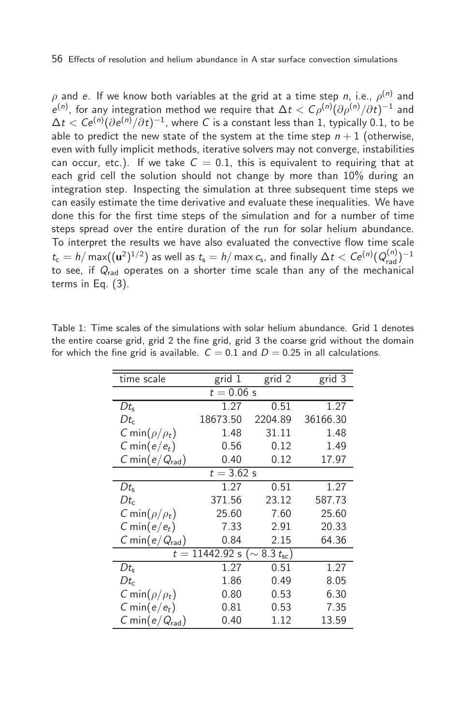$\rho$  and  $e$ . If we know both variables at the grid at a time step  $n$ , i.e.,  $\rho^{(n)}$  and  $e^{(n)}$ , for any integration method we require that  $\Delta t < C \rho^{(n)} (\partial \rho^{(n)}/\partial t)^{-1}$  and  $\Delta t < \mathsf{Ce}^{(n)}(\partial \pmb{e}^{(n)}/\partial t)^{-1}$ , where  $C$  is a constant less than 1, typically 0.1, to be able to predict the new state of the system at the time step  $n+1$  (otherwise, even with fully implicit methods, iterative solvers may not converge, instabilities can occur, etc.). If we take  $C = 0.1$ , this is equivalent to requiring that at each grid cell the solution should not change by more than 10% during an integration step. Inspecting the simulation at three subsequent time steps we can easily estimate the time derivative and evaluate these inequalities. We have done this for the first time steps of the simulation and for a number of time steps spread over the entire duration of the run for solar helium abundance. To interpret the results we have also evaluated the convective flow time scale  $t_{\sf c} = h/ \max((\bm u^2)^{1/2})$  as well as  $t_{\sf s} = h/ \max c_{\sf s}$ , and finally  $\Delta t < C e^{(n)} (Q_{\sf rad}^{(n)})^{-1}$ to see, if *Q*rad operates on a shorter time scale than any of the mechanical terms in Eq. (3).

Table 1: Time scales of the simulations with solar helium abundance. Grid 1 denotes the entire coarse grid, grid 2 the fine grid, grid 3 the coarse grid without the domain for which the fine grid is available.  $C = 0.1$  and  $D = 0.25$  in all calculations.

| time scale                                   | grid 1   | grid 2  | grid 3   |
|----------------------------------------------|----------|---------|----------|
| $t = 0.06$ s                                 |          |         |          |
| $Dt_s$                                       | 1.27     | 0.51    | 1.27     |
| $Dt_c$                                       | 18673.50 | 2204.89 | 36166.30 |
| C min $(\rho/\rho_t)$                        | 1.48     | 31.11   | 1.48     |
| C min( $e/e_t$ )                             | 0.56     | 0.12    | 1.49     |
| C min( $e/Q_{rad}$ )                         | 0.40     | 0.12    | 17.97    |
| $t = 3.62$ s                                 |          |         |          |
| $Dt_{s}$                                     | 1.27     | 0.51    | 1.27     |
| $Dt_c$                                       | 371.56   | 23.12   | 587.73   |
| C min $(\rho/\rho_t)$                        | 25.60    | 7.60    | 25.60    |
| C min( $e/e_t$ )                             | 7.33     | 2.91    | 20.33    |
| C min( $e/Q_{rad}$ )                         | 0.84     | 2.15    | 64.36    |
| $t = 11442.92$ s ( $\sim 8.3$ $t_{\rm sc}$ ) |          |         |          |
| $Dt_{s}$                                     | 1.27     | 0.51    | 1.27     |
| $Dt_c$                                       | 1.86     | 0.49    | 8.05     |
| C min $(\rho/\rho_t)$                        | 0.80     | 0.53    | 6.30     |
| C min( $e/e_t$ )                             | 0.81     | 0.53    | 7.35     |
| C min( $e/Q_{rad}$ )                         | 0.40     | 1.12    | 13.59    |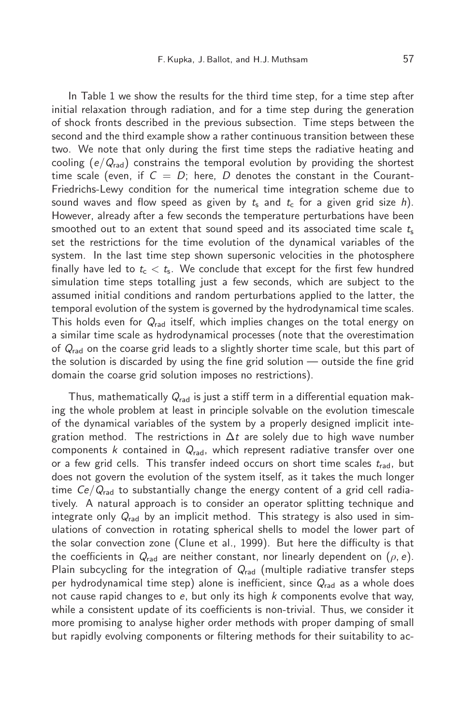In Table 1 we show the results for the third time step, for a time step after initial relaxation through radiation, and for a time step during the generation of shock fronts described in the previous subsection. Time steps between the second and the third example show a rather continuous transition between these two. We note that only during the first time steps the radiative heating and cooling  $(e/Q_{rad})$  constrains the temporal evolution by providing the shortest time scale (even, if  $C = D$ ; here, *D* denotes the constant in the Courant-Friedrichs-Lewy condition for the numerical time integration scheme due to sound waves and flow speed as given by  $t_s$  and  $t_c$  for a given grid size *h*). However, already after a few seconds the temperature perturbations have been smoothed out to an extent that sound speed and its associated time scale *t*<sup>s</sup> set the restrictions for the time evolution of the dynamical variables of the system. In the last time step shown supersonic velocities in the photosphere finally have led to  $t_{\rm c} < t_{\rm s}$ . We conclude that except for the first few hundred simulation time steps totalling just a few seconds, which are subject to the assumed initial conditions and random perturbations applied to the latter, the temporal evolution of the system is governed by the hydrodynamical time scales. This holds even for *Q*rad itself, which implies changes on the total energy on a similar time scale as hydrodynamical processes (note that the overestimation of *Q*rad on the coarse grid leads to a slightly shorter time scale, but this part of the solution is discarded by using the fine grid solution — outside the fine grid domain the coarse grid solution imposes no restrictions).

Thus, mathematically *Q*rad is just a stiff term in a differential equation making the whole problem at least in principle solvable on the evolution timescale of the dynamical variables of the system by a properly designed implicit integration method. The restrictions in ∆*t* are solely due to high wave number components *k* contained in *Q*rad, which represent radiative transfer over one or a few grid cells. This transfer indeed occurs on short time scales *t*rad, but does not govern the evolution of the system itself, as it takes the much longer time *Ce*/*Q*rad to substantially change the energy content of a grid cell radiatively. A natural approach is to consider an operator splitting technique and integrate only *Q*rad by an implicit method. This strategy is also used in simulations of convection in rotating spherical shells to model the lower part of the solar convection zone (Clune et al., 1999). But here the difficulty is that the coefficients in  $Q_{rad}$  are neither constant, nor linearly dependent on  $(\rho, e)$ . Plain subcycling for the integration of Q<sub>rad</sub> (multiple radiative transfer steps per hydrodynamical time step) alone is inefficient, since *Q*rad as a whole does not cause rapid changes to *e*, but only its high *k* components evolve that way, while a consistent update of its coefficients is non-trivial. Thus, we consider it more promising to analyse higher order methods with proper damping of small but rapidly evolving components or filtering methods for their suitability to ac-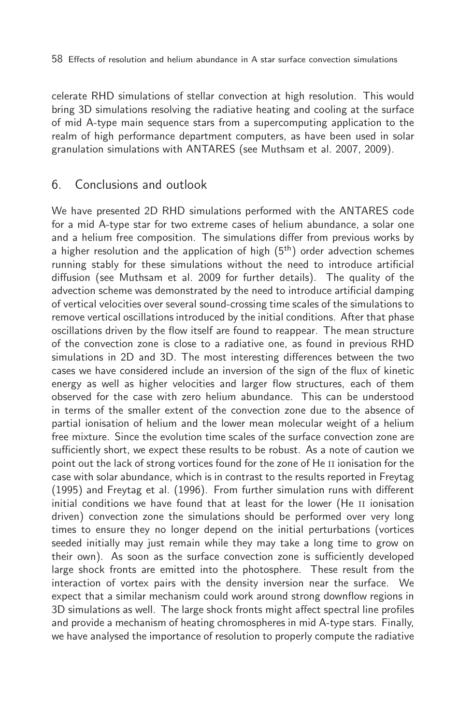celerate RHD simulations of stellar convection at high resolution. This would bring 3D simulations resolving the radiative heating and cooling at the surface of mid A-type main sequence stars from a supercomputing application to the realm of high performance department computers, as have been used in solar granulation simulations with ANTARES (see Muthsam et al. 2007, 2009).

# 6. Conclusions and outlook

We have presented 2D RHD simulations performed with the ANTARES code for a mid A-type star for two extreme cases of helium abundance, a solar one and a helium free composition. The simulations differ from previous works by a higher resolution and the application of high  $(5<sup>th</sup>)$  order advection schemes running stably for these simulations without the need to introduce artificial diffusion (see Muthsam et al. 2009 for further details). The quality of the advection scheme was demonstrated by the need to introduce artificial damping of vertical velocities over several sound-crossing time scales of the simulations to remove vertical oscillations introduced by the initial conditions. After that phase oscillations driven by the flow itself are found to reappear. The mean structure of the convection zone is close to a radiative one, as found in previous RHD simulations in 2D and 3D. The most interesting differences between the two cases we have considered include an inversion of the sign of the flux of kinetic energy as well as higher velocities and larger flow structures, each of them observed for the case with zero helium abundance. This can be understood in terms of the smaller extent of the convection zone due to the absence of partial ionisation of helium and the lower mean molecular weight of a helium free mixture. Since the evolution time scales of the surface convection zone are sufficiently short, we expect these results to be robust. As a note of caution we point out the lack of strong vortices found for the zone of He II ionisation for the case with solar abundance, which is in contrast to the results reported in Freytag (1995) and Freytag et al. (1996). From further simulation runs with different initial conditions we have found that at least for the lower (He ii ionisation driven) convection zone the simulations should be performed over very long times to ensure they no longer depend on the initial perturbations (vortices seeded initially may just remain while they may take a long time to grow on their own). As soon as the surface convection zone is sufficiently developed large shock fronts are emitted into the photosphere. These result from the interaction of vortex pairs with the density inversion near the surface. We expect that a similar mechanism could work around strong downflow regions in 3D simulations as well. The large shock fronts might affect spectral line profiles and provide a mechanism of heating chromospheres in mid A-type stars. Finally, we have analysed the importance of resolution to properly compute the radiative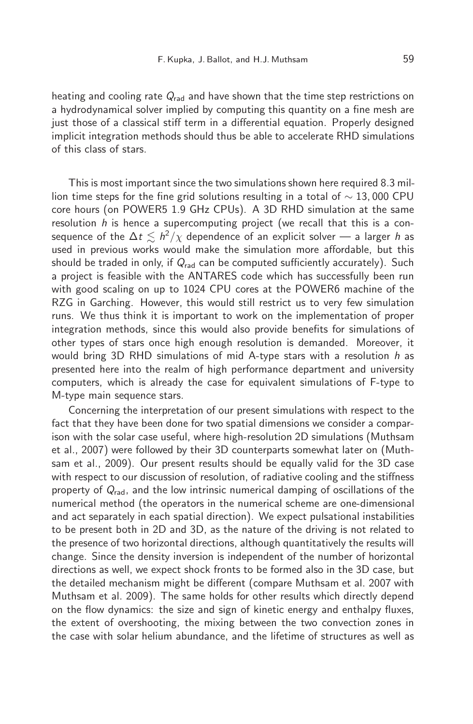heating and cooling rate  $Q_{rad}$  and have shown that the time step restrictions on a hydrodynamical solver implied by computing this quantity on a fine mesh are just those of a classical stiff term in a differential equation. Properly designed implicit integration methods should thus be able to accelerate RHD simulations of this class of stars.

This is most important since the two simulations shown here required 8.3 million time steps for the fine grid solutions resulting in a total of  $\sim$  13,000 CPU core hours (on POWER5 1.9 GHz CPUs). A 3D RHD simulation at the same resolution *h* is hence a supercomputing project (we recall that this is a consequence of the  $\Delta t \lesssim \hbar^2/\chi$  dependence of an explicit solver — a larger  $h$  as used in previous works would make the simulation more affordable, but this should be traded in only, if *Q*rad can be computed sufficiently accurately). Such a project is feasible with the ANTARES code which has successfully been run with good scaling on up to 1024 CPU cores at the POWER6 machine of the RZG in Garching. However, this would still restrict us to very few simulation runs. We thus think it is important to work on the implementation of proper integration methods, since this would also provide benefits for simulations of other types of stars once high enough resolution is demanded. Moreover, it would bring 3D RHD simulations of mid A-type stars with a resolution *h* as presented here into the realm of high performance department and university computers, which is already the case for equivalent simulations of F-type to M-type main sequence stars.

Concerning the interpretation of our present simulations with respect to the fact that they have been done for two spatial dimensions we consider a comparison with the solar case useful, where high-resolution 2D simulations (Muthsam et al., 2007) were followed by their 3D counterparts somewhat later on (Muthsam et al., 2009). Our present results should be equally valid for the 3D case with respect to our discussion of resolution, of radiative cooling and the stiffness property of *Q*rad, and the low intrinsic numerical damping of oscillations of the numerical method (the operators in the numerical scheme are one-dimensional and act separately in each spatial direction). We expect pulsational instabilities to be present both in 2D and 3D, as the nature of the driving is not related to the presence of two horizontal directions, although quantitatively the results will change. Since the density inversion is independent of the number of horizontal directions as well, we expect shock fronts to be formed also in the 3D case, but the detailed mechanism might be different (compare Muthsam et al. 2007 with Muthsam et al. 2009). The same holds for other results which directly depend on the flow dynamics: the size and sign of kinetic energy and enthalpy fluxes, the extent of overshooting, the mixing between the two convection zones in the case with solar helium abundance, and the lifetime of structures as well as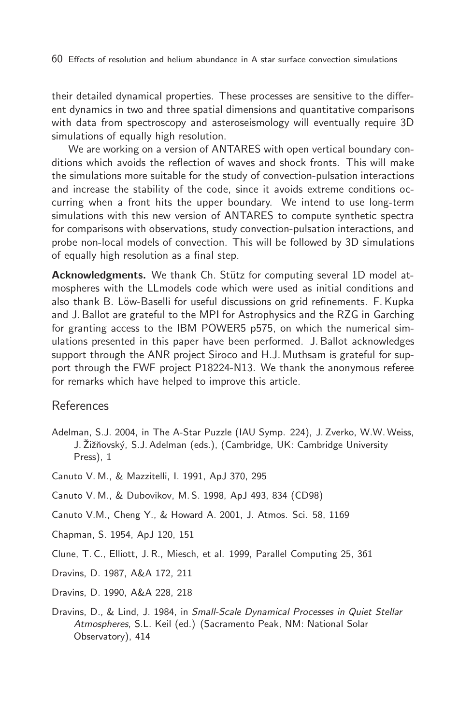their detailed dynamical properties. These processes are sensitive to the different dynamics in two and three spatial dimensions and quantitative comparisons with data from spectroscopy and asteroseismology will eventually require 3D simulations of equally high resolution.

We are working on a version of ANTARES with open vertical boundary conditions which avoids the reflection of waves and shock fronts. This will make the simulations more suitable for the study of convection-pulsation interactions and increase the stability of the code, since it avoids extreme conditions occurring when a front hits the upper boundary. We intend to use long-term simulations with this new version of ANTARES to compute synthetic spectra for comparisons with observations, study convection-pulsation interactions, and probe non-local models of convection. This will be followed by 3D simulations of equally high resolution as a final step.

Acknowledgments. We thank Ch. Stütz for computing several 1D model atmospheres with the LLmodels code which were used as initial conditions and also thank B. Löw-Baselli for useful discussions on grid refinements. F. Kupka and J. Ballot are grateful to the MPI for Astrophysics and the RZG in Garching for granting access to the IBM POWER5 p575, on which the numerical simulations presented in this paper have been performed. J. Ballot acknowledges support through the ANR project Siroco and H.J. Muthsam is grateful for support through the FWF project P18224-N13. We thank the anonymous referee for remarks which have helped to improve this article.

# References

Adelman, S.J. 2004, in The A-Star Puzzle (IAU Symp. 224), J. Zverko, W.W. Weiss, J. Žižňovský, S.J. Adelman (eds.), (Cambridge, UK: Cambridge University Press), 1

Canuto V. M., & Mazzitelli, I. 1991, ApJ 370, 295

- Canuto V. M., & Dubovikov, M. S. 1998, ApJ 493, 834 (CD98)
- Canuto V.M., Cheng Y., & Howard A. 2001, J. Atmos. Sci. 58, 1169

Chapman, S. 1954, ApJ 120, 151

Clune, T. C., Elliott, J. R., Miesch, et al. 1999, Parallel Computing 25, 361

Dravins, D. 1987, A&A 172, 211

Dravins, D. 1990, A&A 228, 218

Dravins, D., & Lind, J. 1984, in *Small-Scale Dynamical Processes in Quiet Stellar Atmospheres*, S.L. Keil (ed.) (Sacramento Peak, NM: National Solar Observatory), 414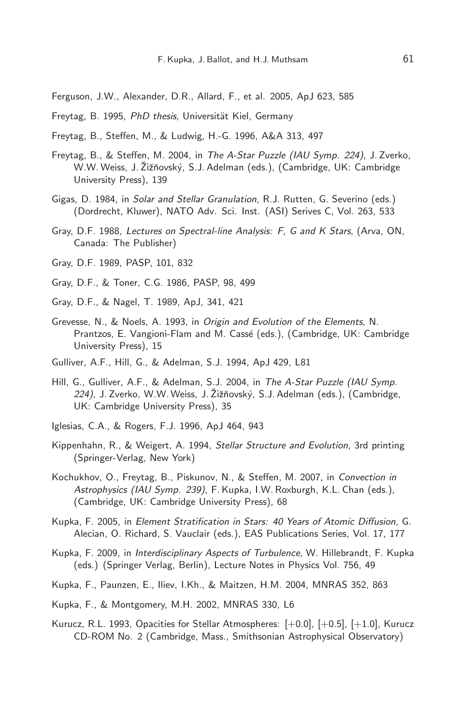Ferguson, J.W., Alexander, D.R., Allard, F., et al. 2005, ApJ 623, 585

Freytag, B. 1995, *PhD thesis*, Universität Kiel, Germany

Freytag, B., Steffen, M., & Ludwig, H.-G. 1996, A&A 313, 497

- Freytag, B., & Steffen, M. 2004, in *The A-Star Puzzle (IAU Symp. 224)*, J. Zverko, W.W. Weiss, J. Žižňovský, S.J. Adelman (eds.), (Cambridge, UK: Cambridge University Press), 139
- Gigas, D. 1984, in *Solar and Stellar Granulation*, R.J. Rutten, G. Severino (eds.) (Dordrecht, Kluwer), NATO Adv. Sci. Inst. (ASI) Serives C, Vol. 263, 533
- Gray, D.F. 1988, *Lectures on Spectral-line Analysis: F, G and K Stars*, (Arva, ON, Canada: The Publisher)

Gray, D.F. 1989, PASP, 101, 832

Gray, D.F., & Toner, C.G. 1986, PASP, 98, 499

Gray, D.F., & Nagel, T. 1989, ApJ, 341, 421

Grevesse, N., & Noels, A. 1993, in *Origin and Evolution of the Elements*, N. Prantzos, E. Vangioni-Flam and M. Cassé (eds.), (Cambridge, UK: Cambridge University Press), 15

Gulliver, A.F., Hill, G., & Adelman, S.J. 1994, ApJ 429, L81

Hill, G., Gulliver, A.F., & Adelman, S.J. 2004, in *The A-Star Puzzle (IAU Symp.* 224), J. Zverko, W.W. Weiss, J. Žižňovský, S.J. Adelman (eds.), (Cambridge, UK: Cambridge University Press), 35

Iglesias, C.A., & Rogers, F.J. 1996, ApJ 464, 943

- Kippenhahn, R., & Weigert, A. 1994, *Stellar Structure and Evolution*, 3rd printing (Springer-Verlag, New York)
- Kochukhov, O., Freytag, B., Piskunov, N., & Steffen, M. 2007, in *Convection in Astrophysics (IAU Symp. 239)*, F. Kupka, I.W. Roxburgh, K.L. Chan (eds.), (Cambridge, UK: Cambridge University Press), 68
- Kupka, F. 2005, in *Element Stratification in Stars: 40 Years of Atomic Diffusion*, G. Alecian, O. Richard, S. Vauclair (eds.), EAS Publications Series, Vol. 17, 177
- Kupka, F. 2009, in *Interdisciplinary Aspects of Turbulence*, W. Hillebrandt, F. Kupka (eds.) (Springer Verlag, Berlin), Lecture Notes in Physics Vol. 756, 49

Kupka, F., Paunzen, E., Iliev, I.Kh., & Maitzen, H.M. 2004, MNRAS 352, 863

Kupka, F., & Montgomery, M.H. 2002, MNRAS 330, L6

Kurucz, R.L. 1993, Opacities for Stellar Atmospheres: [+0.0], [+0.5], [+1.0], Kurucz CD-ROM No. 2 (Cambridge, Mass., Smithsonian Astrophysical Observatory)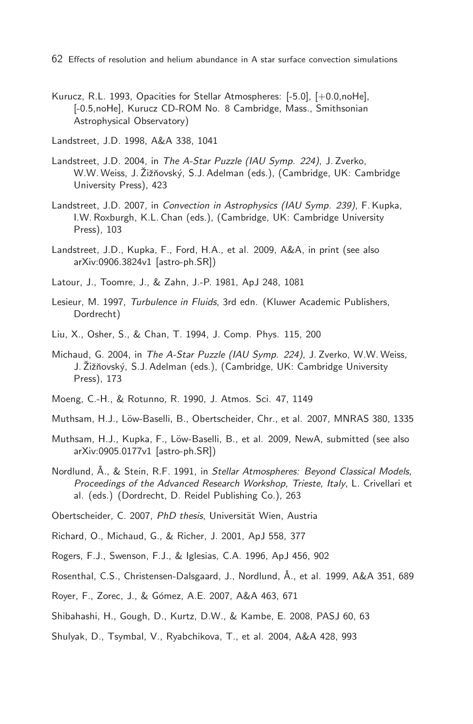Kurucz, R.L. 1993, Opacities for Stellar Atmospheres: [-5.0], [+0.0,noHe], [-0.5,noHe], Kurucz CD-ROM No. 8 Cambridge, Mass., Smithsonian Astrophysical Observatory)

Landstreet, J.D. 1998, A&A 338, 1041

- Landstreet, J.D. 2004, in *The A-Star Puzzle (IAU Symp. 224)*, J. Zverko, W.W. Weiss, J. Žižňovský, S.J. Adelman (eds.), (Cambridge, UK: Cambridge University Press), 423
- Landstreet, J.D. 2007, in *Convection in Astrophysics (IAU Symp. 239)*, F. Kupka, I.W. Roxburgh, K.L. Chan (eds.), (Cambridge, UK: Cambridge University Press), 103
- Landstreet, J.D., Kupka, F., Ford, H.A., et al. 2009, A&A, in print (see also arXiv:0906.3824v1 [astro-ph.SR])
- Latour, J., Toomre, J., & Zahn, J.-P. 1981, ApJ 248, 1081
- Lesieur, M. 1997, *Turbulence in Fluids*, 3rd edn. (Kluwer Academic Publishers, Dordrecht)
- Liu, X., Osher, S., & Chan, T. 1994, J. Comp. Phys. 115, 200
- Michaud, G. 2004, in *The A-Star Puzzle (IAU Symp. 224)*, J. Zverko, W.W. Weiss, J. Žižňovský, S.J. Adelman (eds.), (Cambridge, UK: Cambridge University Press), 173
- Moeng, C.-H., & Rotunno, R. 1990, J. Atmos. Sci. 47, 1149
- Muthsam, H.J., Löw-Baselli, B., Obertscheider, Chr., et al. 2007, MNRAS 380, 1335
- Muthsam, H.J., Kupka, F., Löw-Baselli, B., et al. 2009, NewA, submitted (see also arXiv:0905.0177v1 [astro-ph.SR])
- Nordlund, Å., & Stein, R.F. 1991, in *Stellar Atmospheres: Beyond Classical Models*, *Proceedings of the Advanced Research Workshop, Trieste, Italy*, L. Crivellari et al. (eds.) (Dordrecht, D. Reidel Publishing Co.), 263
- Obertscheider, C. 2007, PhD thesis, Universität Wien, Austria
- Richard, O., Michaud, G., & Richer, J. 2001, ApJ 558, 377
- Rogers, F.J., Swenson, F.J., & Iglesias, C.A. 1996, ApJ 456, 902
- Rosenthal, C.S., Christensen-Dalsgaard, J., Nordlund, Å., et al. 1999, A&A 351, 689
- Royer, F., Zorec, J., & Gómez, A.E. 2007, A&A 463, 671
- Shibahashi, H., Gough, D., Kurtz, D.W., & Kambe, E. 2008, PASJ 60, 63
- Shulyak, D., Tsymbal, V., Ryabchikova, T., et al. 2004, A&A 428, 993